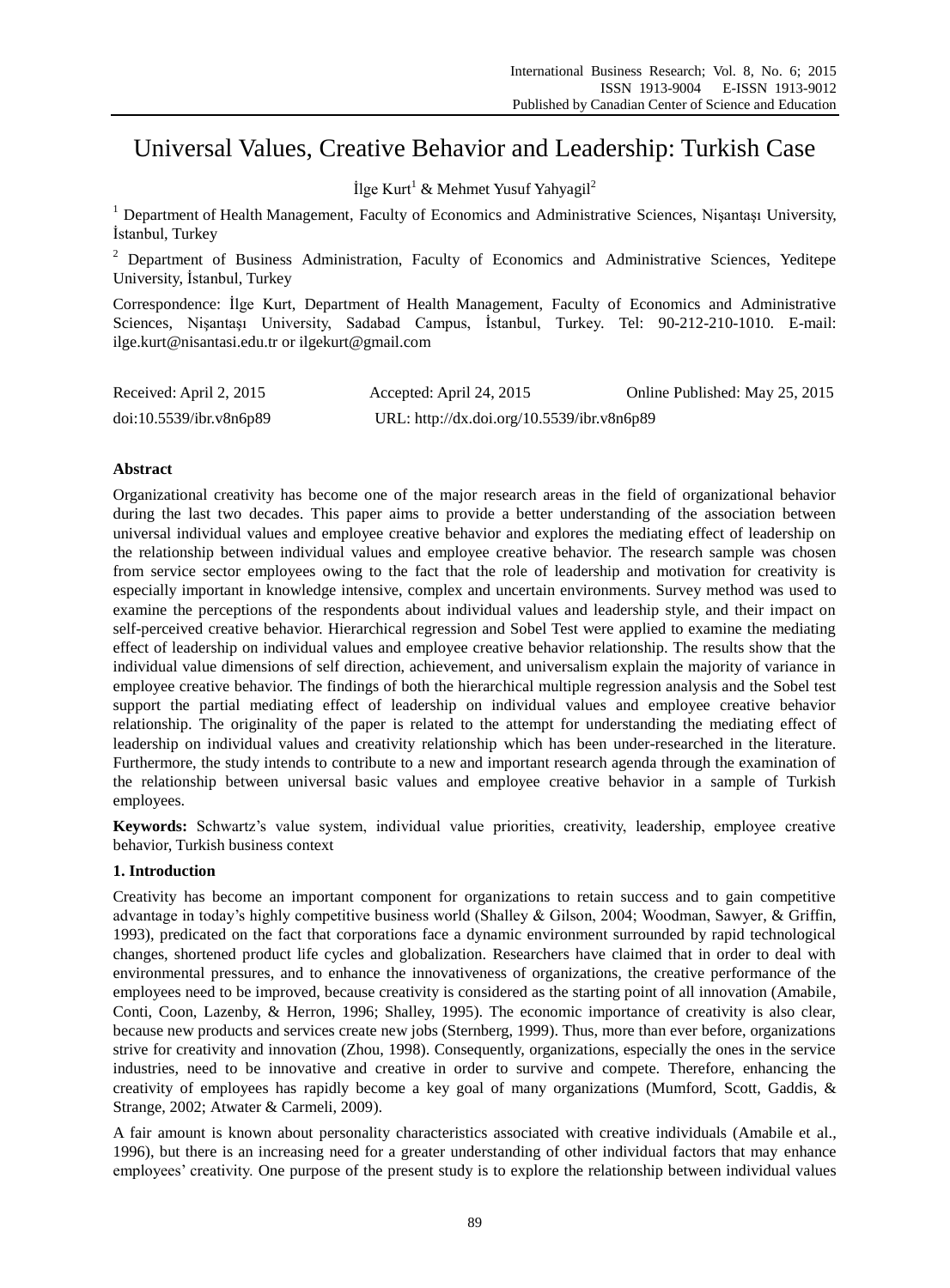# Universal Values, Creative Behavior and Leadership: Turkish Case

 $I$ lge Kurt<sup>1</sup> & Mehmet Yusuf Yahyagil<sup>2</sup>

<sup>1</sup> Department of Health Management, Faculty of Economics and Administrative Sciences, Nişantaşı University, İstanbul, Turkey

<sup>2</sup> Department of Business Administration, Faculty of Economics and Administrative Sciences, Yeditepe University, İstanbul, Turkey

Correspondence: İlge Kurt, Department of Health Management, Faculty of Economics and Administrative Sciences, Nişantaşı University, Sadabad Campus, İstanbul, Turkey. Tel: 90-212-210-1010. E-mail: ilge.kurt@nisantasi.edu.tr or ilgekurt@gmail.com

| Received: April 2, 2015 | Accepted: April 24, 2015                   | Online Published: May 25, 2015 |
|-------------------------|--------------------------------------------|--------------------------------|
| doi:10.5539/ibr.v8n6p89 | URL: http://dx.doi.org/10.5539/ibr.v8n6p89 |                                |

# **Abstract**

Organizational creativity has become one of the major research areas in the field of organizational behavior during the last two decades. This paper aims to provide a better understanding of the association between universal individual values and employee creative behavior and explores the mediating effect of leadership on the relationship between individual values and employee creative behavior. The research sample was chosen from service sector employees owing to the fact that the role of leadership and motivation for creativity is especially important in knowledge intensive, complex and uncertain environments. Survey method was used to examine the perceptions of the respondents about individual values and leadership style, and their impact on self-perceived creative behavior. Hierarchical regression and Sobel Test were applied to examine the mediating effect of leadership on individual values and employee creative behavior relationship. The results show that the individual value dimensions of self direction, achievement, and universalism explain the majority of variance in employee creative behavior. The findings of both the hierarchical multiple regression analysis and the Sobel test support the partial mediating effect of leadership on individual values and employee creative behavior relationship. The originality of the paper is related to the attempt for understanding the mediating effect of leadership on individual values and creativity relationship which has been under-researched in the literature. Furthermore, the study intends to contribute to a new and important research agenda through the examination of the relationship between universal basic values and employee creative behavior in a sample of Turkish employees.

**Keywords:** Schwartz"s value system, individual value priorities, creativity, leadership, employee creative behavior, Turkish business context

## **1. Introduction**

Creativity has become an important component for organizations to retain success and to gain competitive advantage in today's highly competitive business world (Shalley & Gilson, 2004; Woodman, Sawyer, & Griffin, 1993), predicated on the fact that corporations face a dynamic environment surrounded by rapid technological changes, shortened product life cycles and globalization. Researchers have claimed that in order to deal with environmental pressures, and to enhance the innovativeness of organizations, the creative performance of the employees need to be improved, because creativity is considered as the starting point of all innovation (Amabile, Conti, Coon, Lazenby, & Herron, 1996; Shalley, 1995). The economic importance of creativity is also clear, because new products and services create new jobs (Sternberg, 1999). Thus, more than ever before, organizations strive for creativity and innovation (Zhou, 1998). Consequently, organizations, especially the ones in the service industries, need to be innovative and creative in order to survive and compete. Therefore, enhancing the creativity of employees has rapidly become a key goal of many organizations (Mumford, Scott, Gaddis, & Strange, 2002; Atwater & Carmeli, 2009).

A fair amount is known about personality characteristics associated with creative individuals (Amabile et al., 1996), but there is an increasing need for a greater understanding of other individual factors that may enhance employees' creativity. One purpose of the present study is to explore the relationship between individual values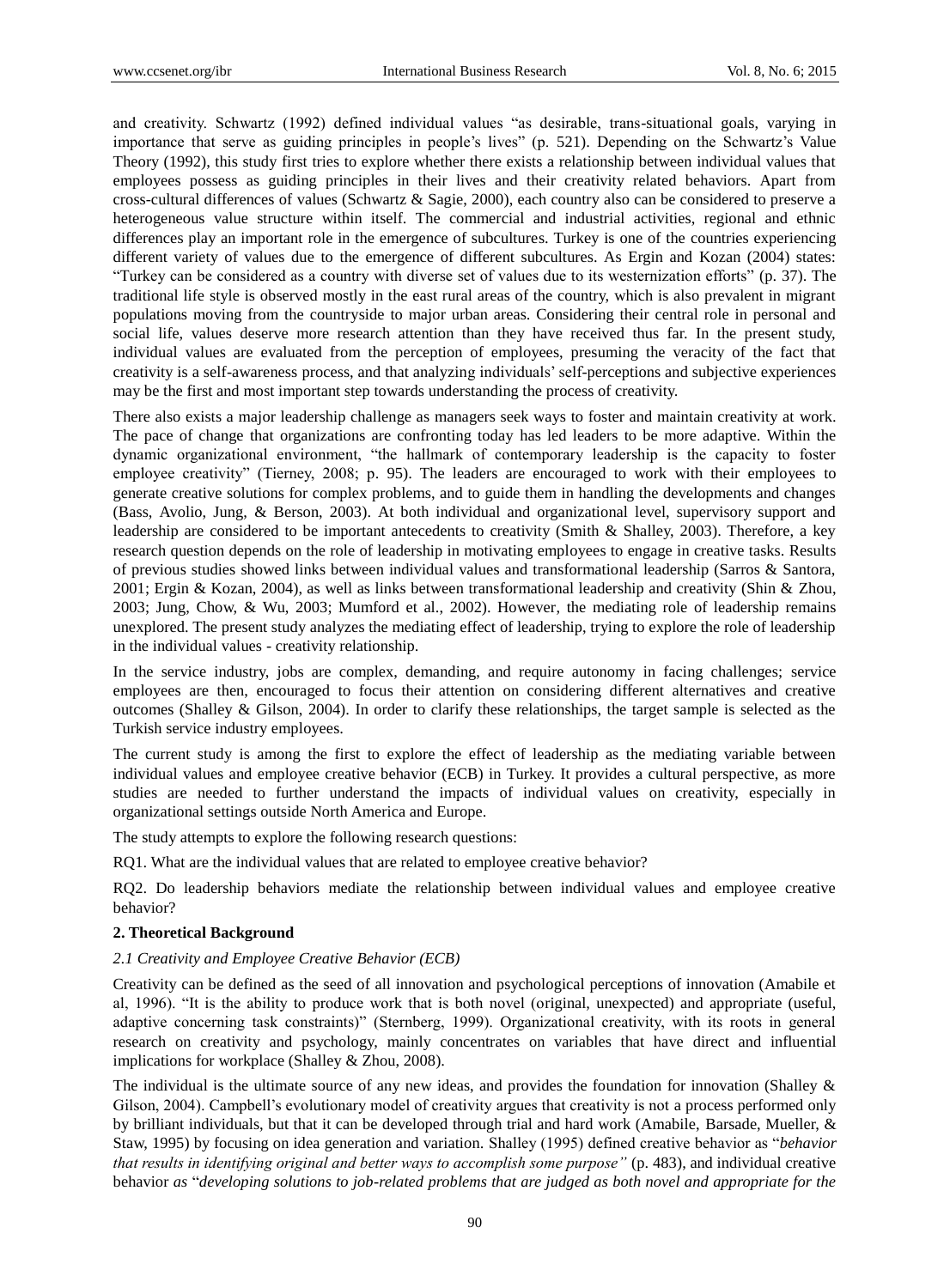and creativity. Schwartz (1992) defined individual values "as desirable, trans-situational goals, varying in importance that serve as guiding principles in people"s lives" (p. 521). Depending on the Schwartz"s Value Theory (1992), this study first tries to explore whether there exists a relationship between individual values that employees possess as guiding principles in their lives and their creativity related behaviors. Apart from cross-cultural differences of values (Schwartz & Sagie, 2000), each country also can be considered to preserve a heterogeneous value structure within itself. The commercial and industrial activities, regional and ethnic differences play an important role in the emergence of subcultures. Turkey is one of the countries experiencing different variety of values due to the emergence of different subcultures. As Ergin and Kozan (2004) states: "Turkey can be considered as a country with diverse set of values due to its westernization efforts" (p. 37). The traditional life style is observed mostly in the east rural areas of the country, which is also prevalent in migrant populations moving from the countryside to major urban areas. Considering their central role in personal and social life, values deserve more research attention than they have received thus far. In the present study, individual values are evaluated from the perception of employees, presuming the veracity of the fact that creativity is a self-awareness process, and that analyzing individuals" self-perceptions and subjective experiences may be the first and most important step towards understanding the process of creativity.

There also exists a major leadership challenge as managers seek ways to foster and maintain creativity at work. The pace of change that organizations are confronting today has led leaders to be more adaptive. Within the dynamic organizational environment, "the hallmark of contemporary leadership is the capacity to foster employee creativity" (Tierney, 2008; p. 95). The leaders are encouraged to work with their employees to generate creative solutions for complex problems, and to guide them in handling the developments and changes (Bass, Avolio, Jung, & Berson, 2003). At both individual and organizational level, supervisory support and leadership are considered to be important antecedents to creativity (Smith & Shalley, 2003). Therefore, a key research question depends on the role of leadership in motivating employees to engage in creative tasks. Results of previous studies showed links between individual values and transformational leadership (Sarros & Santora, 2001; Ergin & Kozan, 2004), as well as links between transformational leadership and creativity (Shin & Zhou, 2003; Jung, Chow, & Wu, 2003; Mumford et al., 2002). However, the mediating role of leadership remains unexplored. The present study analyzes the mediating effect of leadership, trying to explore the role of leadership in the individual values - creativity relationship.

In the service industry, jobs are complex, demanding, and require autonomy in facing challenges; service employees are then, encouraged to focus their attention on considering different alternatives and creative outcomes (Shalley & Gilson, 2004). In order to clarify these relationships, the target sample is selected as the Turkish service industry employees.

The current study is among the first to explore the effect of leadership as the mediating variable between individual values and employee creative behavior (ECB) in Turkey. It provides a cultural perspective, as more studies are needed to further understand the impacts of individual values on creativity, especially in organizational settings outside North America and Europe.

The study attempts to explore the following research questions:

RQ1. What are the individual values that are related to employee creative behavior?

RQ2. Do leadership behaviors mediate the relationship between individual values and employee creative behavior?

#### **2. Theoretical Background**

#### *2.1 Creativity and Employee Creative Behavior (ECB)*

Creativity can be defined as the seed of all innovation and psychological perceptions of innovation (Amabile et al, 1996). "It is the ability to produce work that is both novel (original, unexpected) and appropriate (useful, adaptive concerning task constraints)" (Sternberg, 1999). Organizational creativity, with its roots in general research on creativity and psychology, mainly concentrates on variables that have direct and influential implications for workplace (Shalley & Zhou, 2008).

The individual is the ultimate source of any new ideas, and provides the foundation for innovation (Shalley & Gilson, 2004). Campbell's evolutionary model of creativity argues that creativity is not a process performed only by brilliant individuals, but that it can be developed through trial and hard work (Amabile, Barsade, Mueller, & Staw, 1995) by focusing on idea generation and variation. Shalley (1995) defined creative behavior as "*behavior that results in identifying original and better ways to accomplish some purpose" (p. 483), and individual creative* behavior *as* "*developing solutions to job-related problems that are judged as both novel and appropriate for the*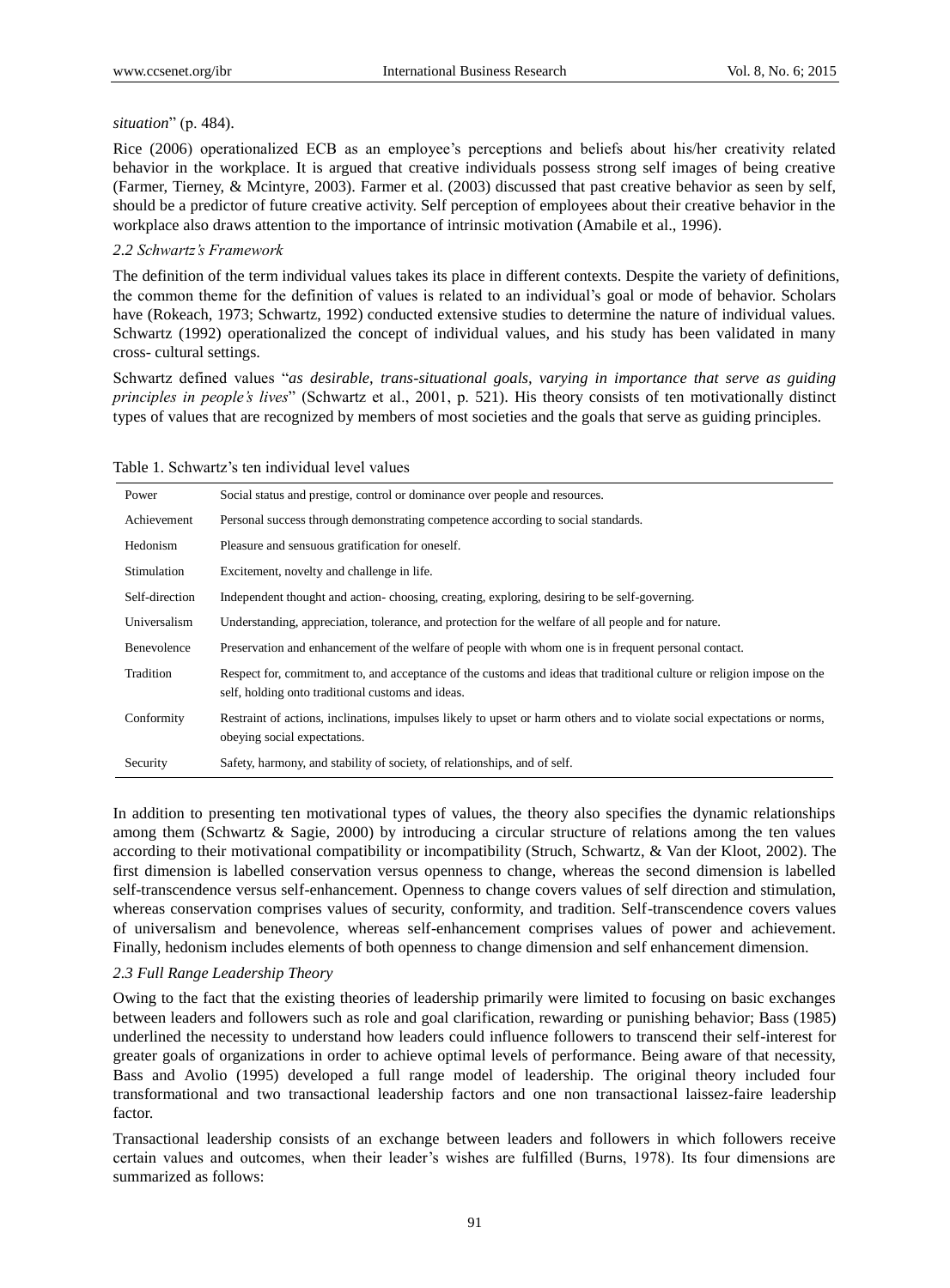#### *situation*" (p. 484).

Rice (2006) operationalized ECB as an employee's perceptions and beliefs about his/her creativity related behavior in the workplace. It is argued that creative individuals possess strong self images of being creative (Farmer, Tierney, & Mcintyre, 2003). Farmer et al. (2003) discussed that past creative behavior as seen by self, should be a predictor of future creative activity. Self perception of employees about their creative behavior in the workplace also draws attention to the importance of intrinsic motivation (Amabile et al., 1996).

## *2.2 Schwartz's Framework*

The definition of the term individual values takes its place in different contexts. Despite the variety of definitions, the common theme for the definition of values is related to an individual"s goal or mode of behavior. Scholars have (Rokeach, 1973; Schwartz, 1992) conducted extensive studies to determine the nature of individual values. Schwartz (1992) operationalized the concept of individual values, and his study has been validated in many cross- cultural settings.

Schwartz defined values "*as desirable, trans-situational goals, varying in importance that serve as guiding principles in people's lives*" (Schwartz et al., 2001, p. 521). His theory consists of ten motivationally distinct types of values that are recognized by members of most societies and the goals that serve as guiding principles.

| Power          | Social status and prestige, control or dominance over people and resources.                                                                                                 |
|----------------|-----------------------------------------------------------------------------------------------------------------------------------------------------------------------------|
| Achievement    | Personal success through demonstrating competence according to social standards.                                                                                            |
| Hedonism       | Pleasure and sensuous gratification for oneself.                                                                                                                            |
| Stimulation    | Excitement, novelty and challenge in life.                                                                                                                                  |
| Self-direction | Independent thought and action-choosing, creating, exploring, desiring to be self-governing.                                                                                |
| Universalism   | Understanding, appreciation, tolerance, and protection for the welfare of all people and for nature.                                                                        |
| Benevolence    | Preservation and enhancement of the welfare of people with whom one is in frequent personal contact.                                                                        |
| Tradition      | Respect for, commitment to, and acceptance of the customs and ideas that traditional culture or religion impose on the<br>self, holding onto traditional customs and ideas. |
| Conformity     | Restraint of actions, inclinations, impulses likely to upset or harm others and to violate social expectations or norms,<br>obeying social expectations.                    |
| Security       | Safety, harmony, and stability of society, of relationships, and of self.                                                                                                   |

#### Table 1. Schwartz"s ten individual level values

In addition to presenting ten motivational types of values, the theory also specifies the dynamic relationships among them (Schwartz & Sagie, 2000) by introducing a circular structure of relations among the ten values according to their motivational compatibility or incompatibility (Struch, Schwartz, & Van der Kloot, 2002). The first dimension is labelled conservation versus openness to change, whereas the second dimension is labelled self-transcendence versus self-enhancement. Openness to change covers values of self direction and stimulation, whereas conservation comprises values of security, conformity, and tradition. Self-transcendence covers values of universalism and benevolence, whereas self-enhancement comprises values of power and achievement. Finally, hedonism includes elements of both openness to change dimension and self enhancement dimension.

## *2.3 Full Range Leadership Theory*

Owing to the fact that the existing theories of leadership primarily were limited to focusing on basic exchanges between leaders and followers such as role and goal clarification, rewarding or punishing behavior; Bass (1985) underlined the necessity to understand how leaders could influence followers to transcend their self-interest for greater goals of organizations in order to achieve optimal levels of performance. Being aware of that necessity, Bass and Avolio (1995) developed a full range model of leadership. The original theory included four transformational and two transactional leadership factors and one non transactional laissez-faire leadership factor.

Transactional leadership consists of an exchange between leaders and followers in which followers receive certain values and outcomes, when their leader"s wishes are fulfilled (Burns, 1978). Its four dimensions are summarized as follows: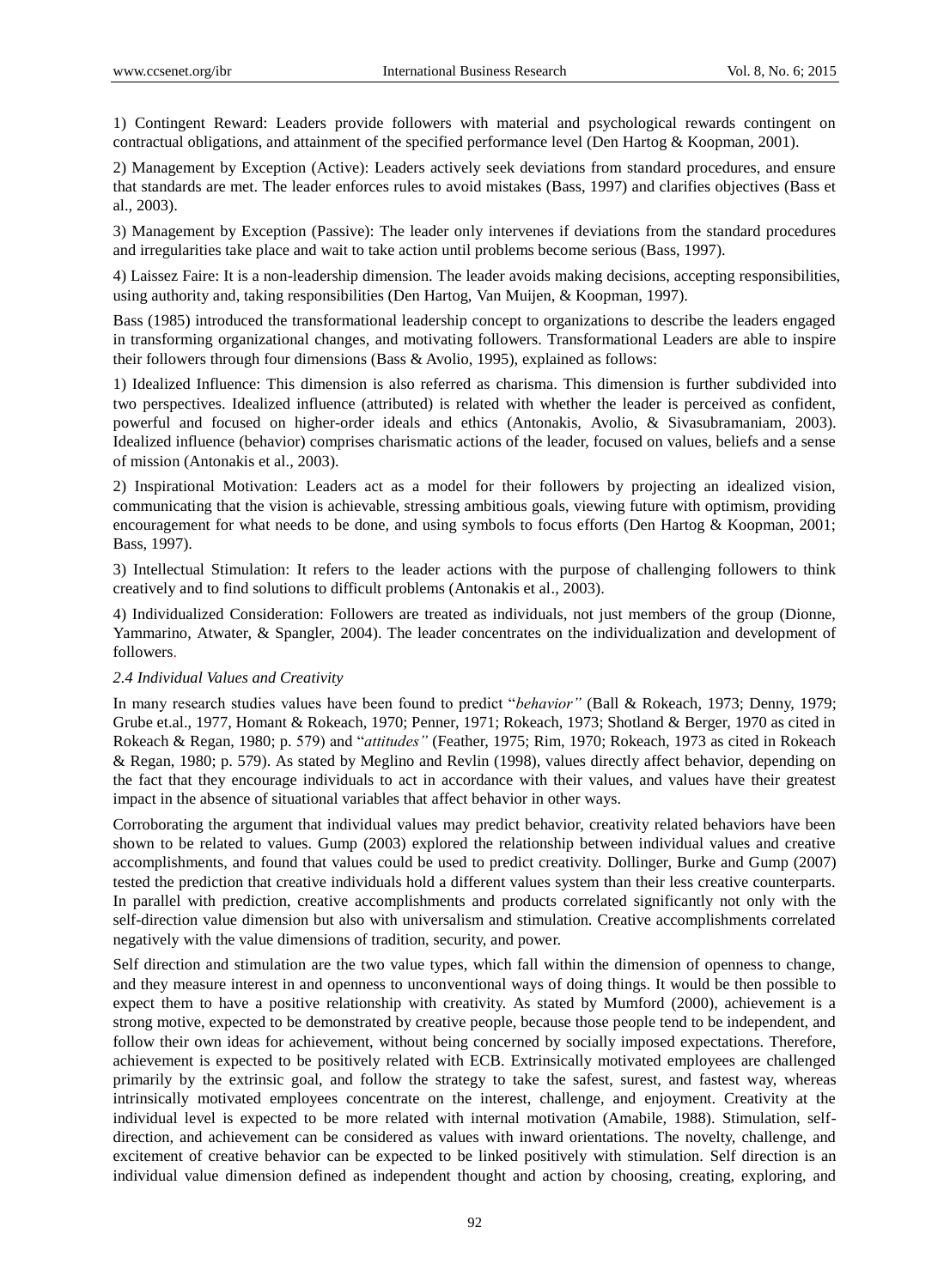1) Contingent Reward: Leaders provide followers with material and psychological rewards contingent on contractual obligations, and attainment of the specified performance level (Den Hartog & Koopman, 2001).

2) Management by Exception (Active): Leaders actively seek deviations from standard procedures, and ensure that standards are met. The leader enforces rules to avoid mistakes (Bass, 1997) and clarifies objectives (Bass et al., 2003).

3) Management by Exception (Passive): The leader only intervenes if deviations from the standard procedures and irregularities take place and wait to take action until problems become serious (Bass, 1997).

4) Laissez Faire: It is a non-leadership dimension. The leader avoids making decisions, accepting responsibilities, using authority and, taking responsibilities (Den Hartog, Van Muijen, & Koopman, 1997).

Bass (1985) introduced the transformational leadership concept to organizations to describe the leaders engaged in transforming organizational changes, and motivating followers. Transformational Leaders are able to inspire their followers through four dimensions (Bass & Avolio, 1995), explained as follows:

1) Idealized Influence: This dimension is also referred as charisma. This dimension is further subdivided into two perspectives. Idealized influence (attributed) is related with whether the leader is perceived as confident, powerful and focused on higher-order ideals and ethics (Antonakis, Avolio, & Sivasubramaniam, 2003). Idealized influence (behavior) comprises charismatic actions of the leader, focused on values, beliefs and a sense of mission (Antonakis et al., 2003).

2) Inspirational Motivation: Leaders act as a model for their followers by projecting an idealized vision, communicating that the vision is achievable, stressing ambitious goals, viewing future with optimism, providing encouragement for what needs to be done, and using symbols to focus efforts (Den Hartog & Koopman, 2001; Bass, 1997).

3) Intellectual Stimulation: It refers to the leader actions with the purpose of challenging followers to think creatively and to find solutions to difficult problems (Antonakis et al., 2003).

4) Individualized Consideration: Followers are treated as individuals, not just members of the group (Dionne, Yammarino, Atwater, & Spangler, 2004). The leader concentrates on the individualization and development of followers.

#### *2.4 Individual Values and Creativity*

In many research studies values have been found to predict "*behavior"* (Ball & Rokeach, 1973; Denny, 1979; Grube et.al., 1977, Homant & Rokeach, 1970; Penner, 1971; Rokeach, 1973; Shotland & Berger, 1970 as cited in Rokeach & Regan, 1980; p. 579) and "*attitudes"* (Feather, 1975; Rim, 1970; Rokeach, 1973 as cited in Rokeach & Regan, 1980; p. 579). As stated by Meglino and Revlin (1998), values directly affect behavior, depending on the fact that they encourage individuals to act in accordance with their values, and values have their greatest impact in the absence of situational variables that affect behavior in other ways.

Corroborating the argument that individual values may predict behavior, creativity related behaviors have been shown to be related to values. Gump (2003) explored the relationship between individual values and creative accomplishments, and found that values could be used to predict creativity. Dollinger, Burke and Gump (2007) tested the prediction that creative individuals hold a different values system than their less creative counterparts. In parallel with prediction, creative accomplishments and products correlated significantly not only with the self-direction value dimension but also with universalism and stimulation. Creative accomplishments correlated negatively with the value dimensions of tradition, security, and power.

Self direction and stimulation are the two value types, which fall within the dimension of openness to change, and they measure interest in and openness to unconventional ways of doing things. It would be then possible to expect them to have a positive relationship with creativity. As stated by Mumford (2000), achievement is a strong motive, expected to be demonstrated by creative people, because those people tend to be independent, and follow their own ideas for achievement, without being concerned by socially imposed expectations. Therefore, achievement is expected to be positively related with ECB. Extrinsically motivated employees are challenged primarily by the extrinsic goal, and follow the strategy to take the safest, surest, and fastest way, whereas intrinsically motivated employees concentrate on the interest, challenge, and enjoyment. Creativity at the individual level is expected to be more related with internal motivation (Amabile, 1988). Stimulation, selfdirection, and achievement can be considered as values with inward orientations. The novelty, challenge, and excitement of creative behavior can be expected to be linked positively with stimulation. Self direction is an individual value dimension defined as independent thought and action by choosing, creating, exploring, and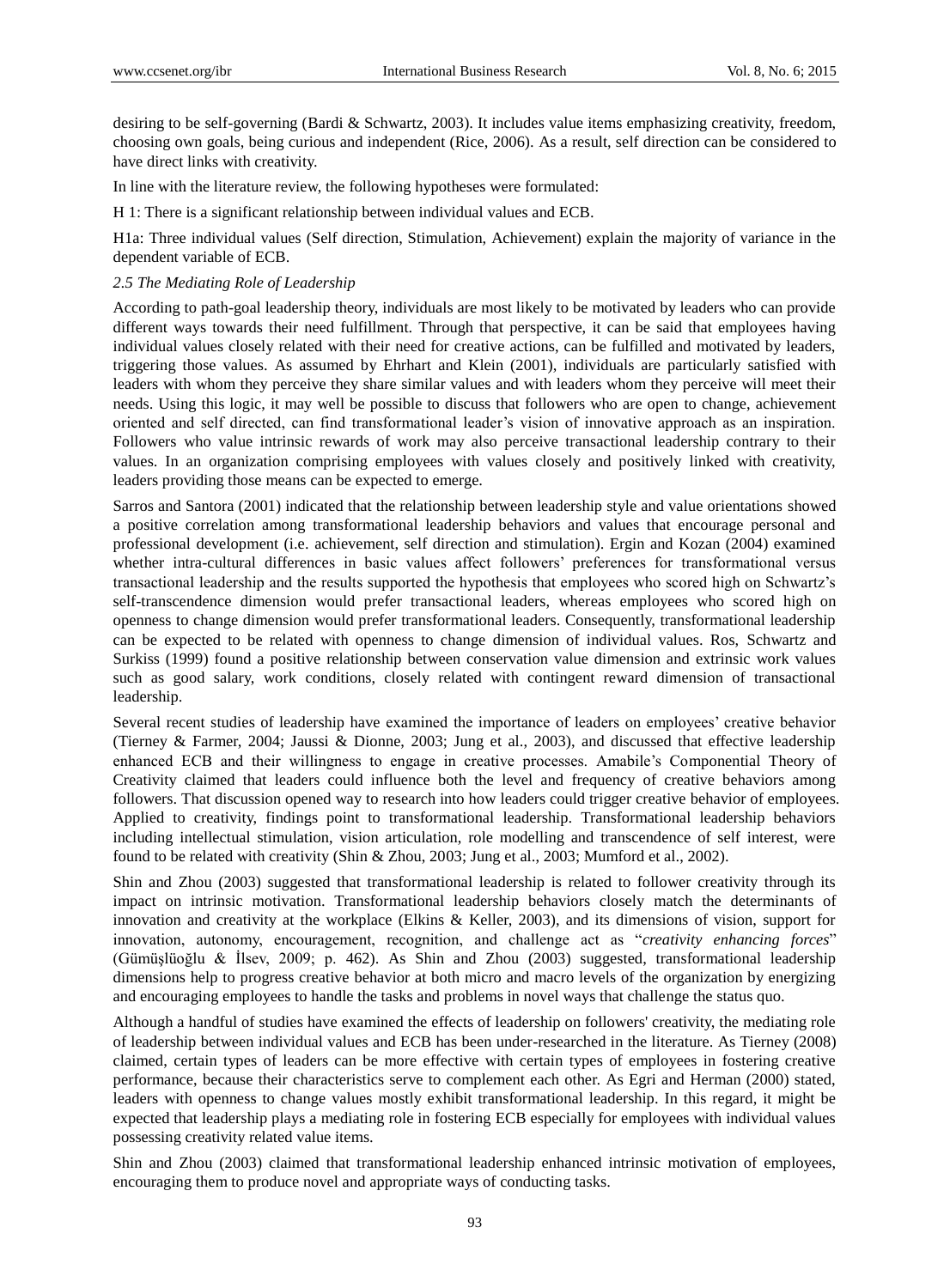desiring to be self-governing (Bardi & Schwartz, 2003). It includes value items emphasizing creativity, freedom, choosing own goals, being curious and independent (Rice, 2006). As a result, self direction can be considered to have direct links with creativity.

In line with the literature review, the following hypotheses were formulated:

H 1: There is a significant relationship between individual values and ECB.

H1a: Three individual values (Self direction, Stimulation, Achievement) explain the majority of variance in the dependent variable of ECB.

## *2.5 The Mediating Role of Leadership*

According to path-goal leadership theory, individuals are most likely to be motivated by leaders who can provide different ways towards their need fulfillment. Through that perspective, it can be said that employees having individual values closely related with their need for creative actions, can be fulfilled and motivated by leaders, triggering those values. As assumed by Ehrhart and Klein (2001), individuals are particularly satisfied with leaders with whom they perceive they share similar values and with leaders whom they perceive will meet their needs. Using this logic, it may well be possible to discuss that followers who are open to change, achievement oriented and self directed, can find transformational leader"s vision of innovative approach as an inspiration. Followers who value intrinsic rewards of work may also perceive transactional leadership contrary to their values. In an organization comprising employees with values closely and positively linked with creativity, leaders providing those means can be expected to emerge.

Sarros and Santora (2001) indicated that the relationship between leadership style and value orientations showed a positive correlation among transformational leadership behaviors and values that encourage personal and professional development (i.e. achievement, self direction and stimulation). Ergin and Kozan (2004) examined whether intra-cultural differences in basic values affect followers" preferences for transformational versus transactional leadership and the results supported the hypothesis that employees who scored high on Schwartz"s self-transcendence dimension would prefer transactional leaders, whereas employees who scored high on openness to change dimension would prefer transformational leaders. Consequently, transformational leadership can be expected to be related with openness to change dimension of individual values. Ros, Schwartz and Surkiss (1999) found a positive relationship between conservation value dimension and extrinsic work values such as good salary, work conditions, closely related with contingent reward dimension of transactional leadership.

Several recent studies of leadership have examined the importance of leaders on employees' creative behavior (Tierney & Farmer, 2004; Jaussi & Dionne, 2003; Jung et al., 2003), and discussed that effective leadership enhanced ECB and their willingness to engage in creative processes. Amabile"s Componential Theory of Creativity claimed that leaders could influence both the level and frequency of creative behaviors among followers. That discussion opened way to research into how leaders could trigger creative behavior of employees. Applied to creativity, findings point to transformational leadership. Transformational leadership behaviors including intellectual stimulation, vision articulation, role modelling and transcendence of self interest, were found to be related with creativity (Shin & Zhou, 2003; Jung et al., 2003; Mumford et al., 2002).

Shin and Zhou (2003) suggested that transformational leadership is related to follower creativity through its impact on intrinsic motivation. Transformational leadership behaviors closely match the determinants of innovation and creativity at the workplace (Elkins & Keller, 2003), and its dimensions of vision, support for innovation, autonomy, encouragement, recognition, and challenge act as "*creativity enhancing forces*" (Gümüşlüoğlu & İlsev, 2009; p. 462). As Shin and Zhou (2003) suggested, transformational leadership dimensions help to progress creative behavior at both micro and macro levels of the organization by energizing and encouraging employees to handle the tasks and problems in novel ways that challenge the status quo.

Although a handful of studies have examined the effects of leadership on followers' creativity, the mediating role of leadership between individual values and ECB has been under-researched in the literature. As Tierney (2008) claimed, certain types of leaders can be more effective with certain types of employees in fostering creative performance, because their characteristics serve to complement each other. As Egri and Herman (2000) stated, leaders with openness to change values mostly exhibit transformational leadership. In this regard, it might be expected that leadership plays a mediating role in fostering ECB especially for employees with individual values possessing creativity related value items.

Shin and Zhou (2003) claimed that transformational leadership enhanced intrinsic motivation of employees, encouraging them to produce novel and appropriate ways of conducting tasks.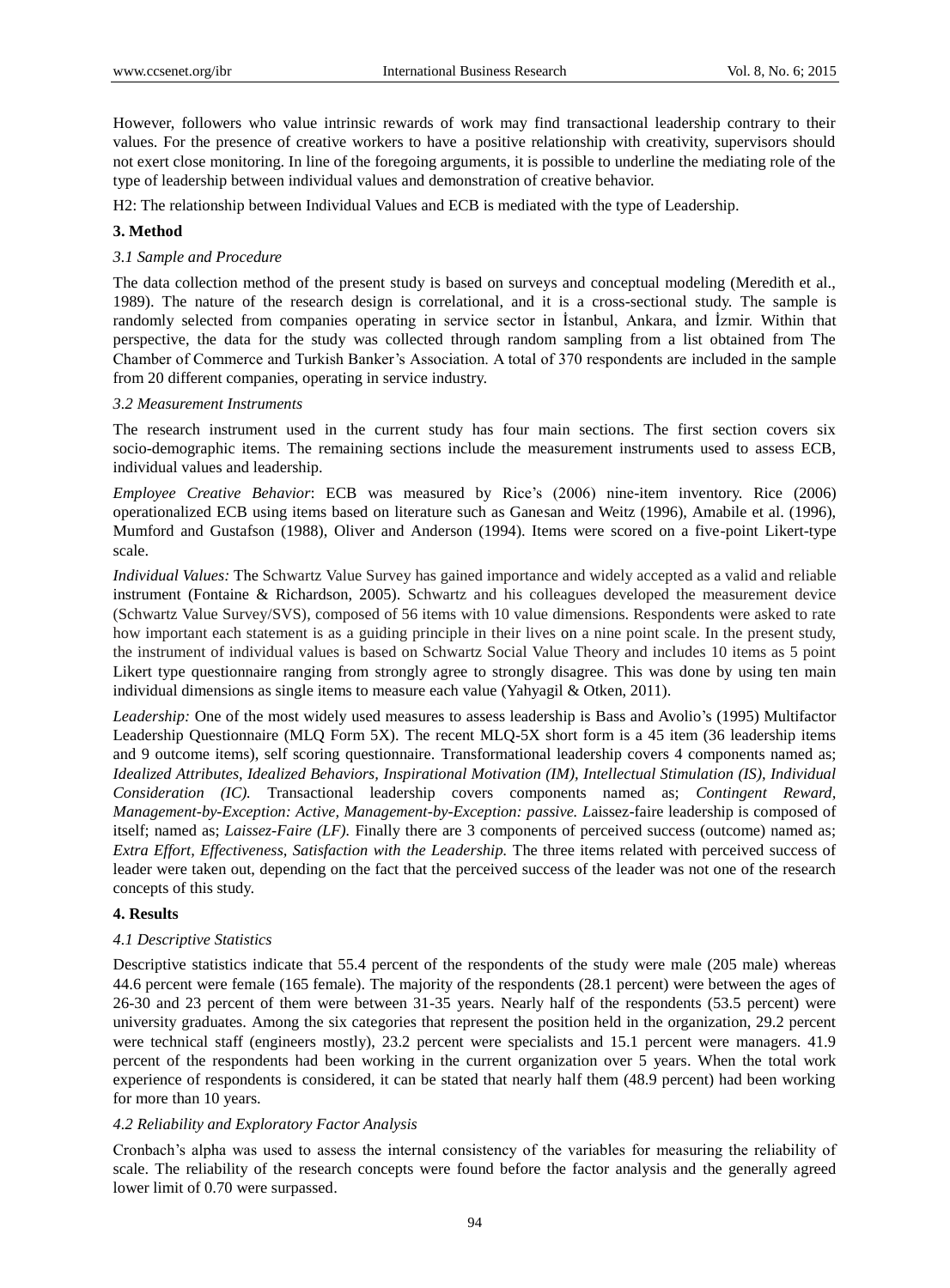However, followers who value intrinsic rewards of work may find transactional leadership contrary to their values. For the presence of creative workers to have a positive relationship with creativity, supervisors should not exert close monitoring. In line of the foregoing arguments, it is possible to underline the mediating role of the type of leadership between individual values and demonstration of creative behavior.

H2: The relationship between Individual Values and ECB is mediated with the type of Leadership.

## **3. Method**

## *3.1 Sample and Procedure*

The data collection method of the present study is based on surveys and conceptual modeling (Meredith et al., 1989). The nature of the research design is correlational, and it is a cross-sectional study. The sample is randomly selected from companies operating in service sector in İstanbul, Ankara, and İzmir. Within that perspective, the data for the study was collected through random sampling from a list obtained from The Chamber of Commerce and Turkish Banker"s Association. A total of 370 respondents are included in the sample from 20 different companies, operating in service industry.

## *3.2 Measurement Instruments*

The research instrument used in the current study has four main sections. The first section covers six socio-demographic items. The remaining sections include the measurement instruments used to assess ECB, individual values and leadership.

*Employee Creative Behavior*: ECB was measured by Rice's (2006) nine-item inventory. Rice (2006) operationalized ECB using items based on literature such as Ganesan and Weitz (1996), Amabile et al. (1996), Mumford and Gustafson (1988), Oliver and Anderson (1994). Items were scored on a five-point Likert-type scale.

*Individual Values:* The Schwartz Value Survey has gained importance and widely accepted as a valid and reliable instrument (Fontaine & Richardson, 2005). Schwartz and his colleagues developed the measurement device (Schwartz Value Survey/SVS), composed of 56 items with 10 value dimensions. Respondents were asked to rate how important each statement is as a guiding principle in their lives on a nine point scale. In the present study, the instrument of individual values is based on Schwartz Social Value Theory and includes 10 items as 5 point Likert type questionnaire ranging from strongly agree to strongly disagree. This was done by using ten main individual dimensions as single items to measure each value (Yahyagil & Otken, 2011).

*Leadership:* One of the most widely used measures to assess leadership is Bass and Avolio's (1995) Multifactor Leadership Questionnaire (MLQ Form 5X). The recent MLQ-5X short form is a 45 item (36 leadership items and 9 outcome items), self scoring questionnaire. Transformational leadership covers 4 components named as; *Idealized Attributes, Idealized Behaviors, Inspirational Motivation (IM), Intellectual Stimulation (IS), Individual Consideration (IC).* Transactional leadership covers components named as; *Contingent Reward, Management-by-Exception: Active, Management-by-Exception: passive. L*aissez-faire leadership is composed of itself; named as; *Laissez-Faire (LF).* Finally there are 3 components of perceived success (outcome) named as; *Extra Effort, Effectiveness, Satisfaction with the Leadership.* The three items related with perceived success of leader were taken out, depending on the fact that the perceived success of the leader was not one of the research concepts of this study.

## **4. Results**

## *4.1 Descriptive Statistics*

Descriptive statistics indicate that 55.4 percent of the respondents of the study were male (205 male) whereas 44.6 percent were female (165 female). The majority of the respondents (28.1 percent) were between the ages of 26-30 and 23 percent of them were between 31-35 years. Nearly half of the respondents (53.5 percent) were university graduates. Among the six categories that represent the position held in the organization, 29.2 percent were technical staff (engineers mostly), 23.2 percent were specialists and 15.1 percent were managers. 41.9 percent of the respondents had been working in the current organization over 5 years. When the total work experience of respondents is considered, it can be stated that nearly half them (48.9 percent) had been working for more than 10 years.

## *4.2 Reliability and Exploratory Factor Analysis*

Cronbach"s alpha was used to assess the internal consistency of the variables for measuring the reliability of scale. The reliability of the research concepts were found before the factor analysis and the generally agreed lower limit of 0.70 were surpassed.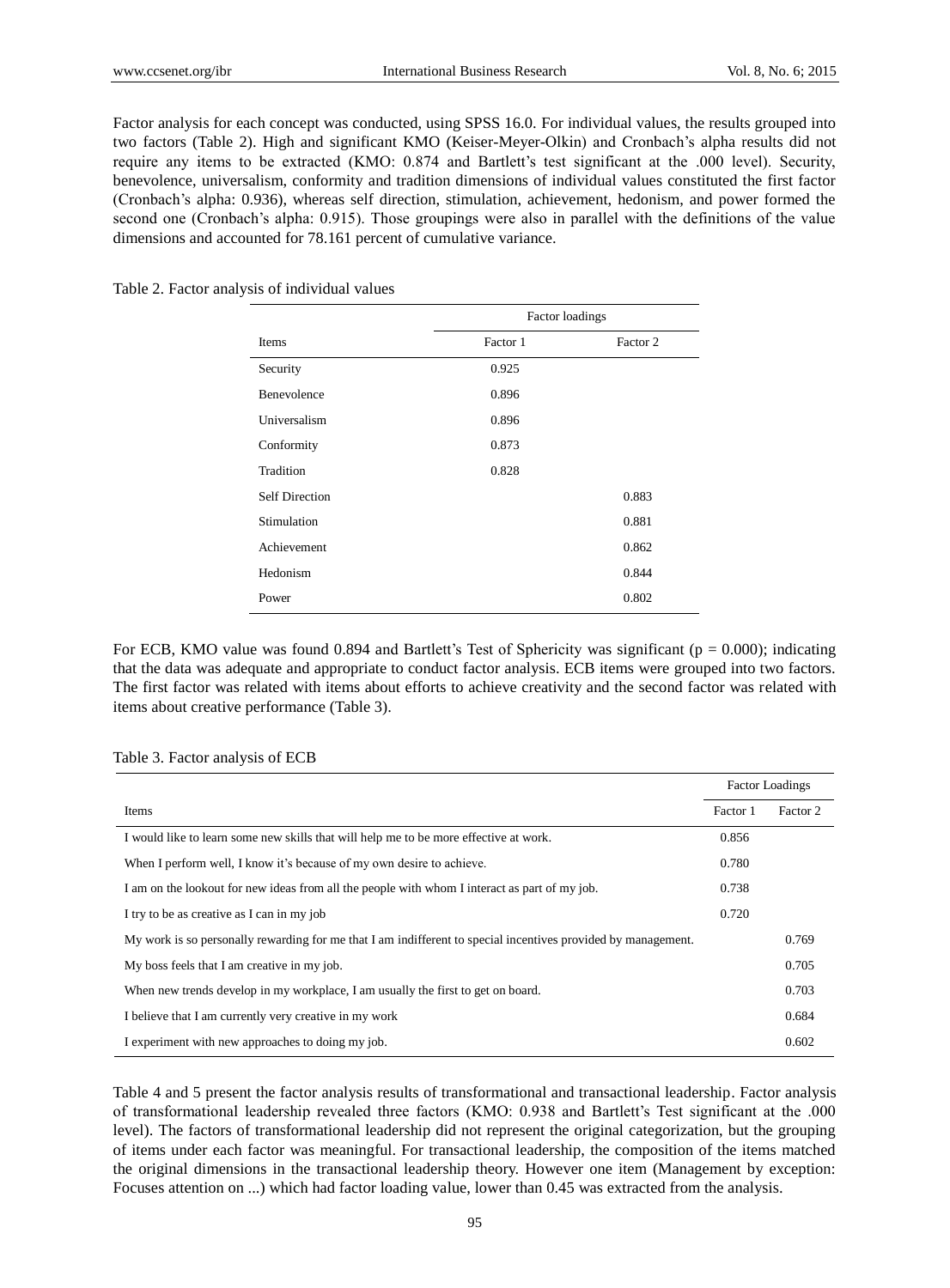Factor analysis for each concept was conducted, using SPSS 16.0. For individual values, the results grouped into two factors (Table 2). High and significant KMO (Keiser-Meyer-Olkin) and Cronbach"s alpha results did not require any items to be extracted (KMO: 0.874 and Bartlett's test significant at the .000 level). Security, benevolence, universalism, conformity and tradition dimensions of individual values constituted the first factor (Cronbach"s alpha: 0.936), whereas self direction, stimulation, achievement, hedonism, and power formed the second one (Cronbach's alpha: 0.915). Those groupings were also in parallel with the definitions of the value dimensions and accounted for 78.161 percent of cumulative variance.

|                       | Factor loadings |          |  |  |
|-----------------------|-----------------|----------|--|--|
| Items                 | Factor 1        | Factor 2 |  |  |
| Security              | 0.925           |          |  |  |
| <b>Benevolence</b>    | 0.896           |          |  |  |
| Universalism          | 0.896           |          |  |  |
| Conformity            | 0.873           |          |  |  |
| Tradition             | 0.828           |          |  |  |
| <b>Self Direction</b> |                 | 0.883    |  |  |
| Stimulation           |                 | 0.881    |  |  |
| Achievement           |                 | 0.862    |  |  |
| Hedonism              |                 | 0.844    |  |  |
| Power                 |                 | 0.802    |  |  |

Table 2. Factor analysis of individual values

For ECB, KMO value was found 0.894 and Bartlett's Test of Sphericity was significant ( $p = 0.000$ ); indicating that the data was adequate and appropriate to conduct factor analysis. ECB items were grouped into two factors. The first factor was related with items about efforts to achieve creativity and the second factor was related with items about creative performance (Table 3).

|  |  | Table 3. Factor analysis of ECB |  |
|--|--|---------------------------------|--|
|--|--|---------------------------------|--|

|                                                                                                               |          | <b>Factor Loadings</b> |
|---------------------------------------------------------------------------------------------------------------|----------|------------------------|
| Items                                                                                                         | Factor 1 | Factor 2               |
| I would like to learn some new skills that will help me to be more effective at work.                         | 0.856    |                        |
| When I perform well, I know it's because of my own desire to achieve.                                         | 0.780    |                        |
| I am on the lookout for new ideas from all the people with whom I interact as part of my job.                 | 0.738    |                        |
| I try to be as creative as I can in my job                                                                    | 0.720    |                        |
| My work is so personally rewarding for me that I am indifferent to special incentives provided by management. |          | 0.769                  |
| My boss feels that I am creative in my job.                                                                   |          | 0.705                  |
| When new trends develop in my workplace, I am usually the first to get on board.                              |          | 0.703                  |
| I believe that I am currently very creative in my work                                                        |          | 0.684                  |
| I experiment with new approaches to doing my job.                                                             |          | 0.602                  |

Table 4 and 5 present the factor analysis results of transformational and transactional leadership. Factor analysis of transformational leadership revealed three factors (KMO: 0.938 and Bartlett"s Test significant at the .000 level). The factors of transformational leadership did not represent the original categorization, but the grouping of items under each factor was meaningful. For transactional leadership, the composition of the items matched the original dimensions in the transactional leadership theory. However one item (Management by exception: Focuses attention on ...) which had factor loading value, lower than 0.45 was extracted from the analysis.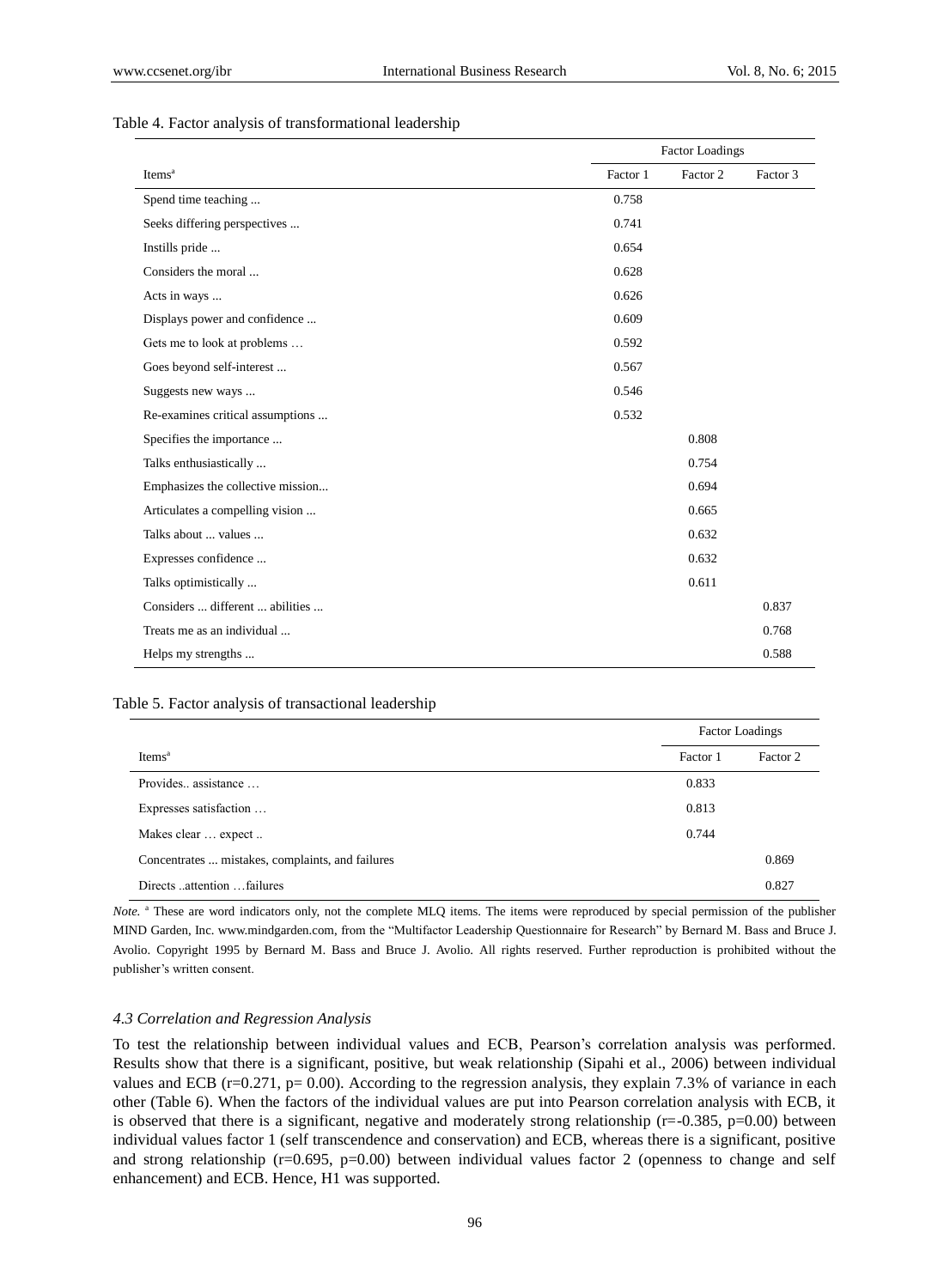#### Table 4. Factor analysis of transformational leadership

|                                   | <b>Factor Loadings</b> |          |          |
|-----------------------------------|------------------------|----------|----------|
| Items <sup>a</sup>                | Factor 1               | Factor 2 | Factor 3 |
| Spend time teaching               | 0.758                  |          |          |
| Seeks differing perspectives      | 0.741                  |          |          |
| Instills pride                    | 0.654                  |          |          |
| Considers the moral               | 0.628                  |          |          |
| Acts in ways                      | 0.626                  |          |          |
| Displays power and confidence     | 0.609                  |          |          |
| Gets me to look at problems       | 0.592                  |          |          |
| Goes beyond self-interest         | 0.567                  |          |          |
| Suggests new ways                 | 0.546                  |          |          |
| Re-examines critical assumptions  | 0.532                  |          |          |
| Specifies the importance          |                        | 0.808    |          |
| Talks enthusiastically            |                        | 0.754    |          |
| Emphasizes the collective mission |                        | 0.694    |          |
| Articulates a compelling vision   |                        | 0.665    |          |
| Talks about  values               |                        | 0.632    |          |
| Expresses confidence              |                        | 0.632    |          |
| Talks optimistically              |                        | 0.611    |          |
| Considers  different  abilities   |                        |          | 0.837    |
| Treats me as an individual        |                        |          | 0.768    |
| Helps my strengths                |                        |          | 0.588    |

#### Table 5. Factor analysis of transactional leadership

|                                                  | <b>Factor Loadings</b> |          |
|--------------------------------------------------|------------------------|----------|
| Items <sup>a</sup>                               | Factor 1               | Factor 2 |
| Provides assistance                              | 0.833                  |          |
| Expresses satisfaction                           | 0.813                  |          |
| Makes clear  expect                              | 0.744                  |          |
| Concentrates  mistakes, complaints, and failures |                        | 0.869    |
| Directs attention failures                       |                        | 0.827    |

*Note.* <sup>a</sup> These are word indicators only, not the complete MLQ items. The items were reproduced by special permission of the publisher MIND Garden, Inc. www.mindgarden.com, from the "Multifactor Leadership Questionnaire for Research" by Bernard M. Bass and Bruce J. Avolio. Copyright 1995 by Bernard M. Bass and Bruce J. Avolio. All rights reserved. Further reproduction is prohibited without the publisher"s written consent.

#### *4.3 Correlation and Regression Analysis*

To test the relationship between individual values and ECB, Pearson"s correlation analysis was performed. Results show that there is a significant, positive, but weak relationship (Sipahi et al., 2006) between individual values and ECB (r=0.271, p= 0.00). According to the regression analysis, they explain 7.3% of variance in each other (Table 6). When the factors of the individual values are put into Pearson correlation analysis with ECB, it is observed that there is a significant, negative and moderately strong relationship  $(r=-0.385, p=0.00)$  between individual values factor 1 (self transcendence and conservation) and ECB, whereas there is a significant, positive and strong relationship (r=0.695, p=0.00) between individual values factor 2 (openness to change and self enhancement) and ECB. Hence, H1 was supported.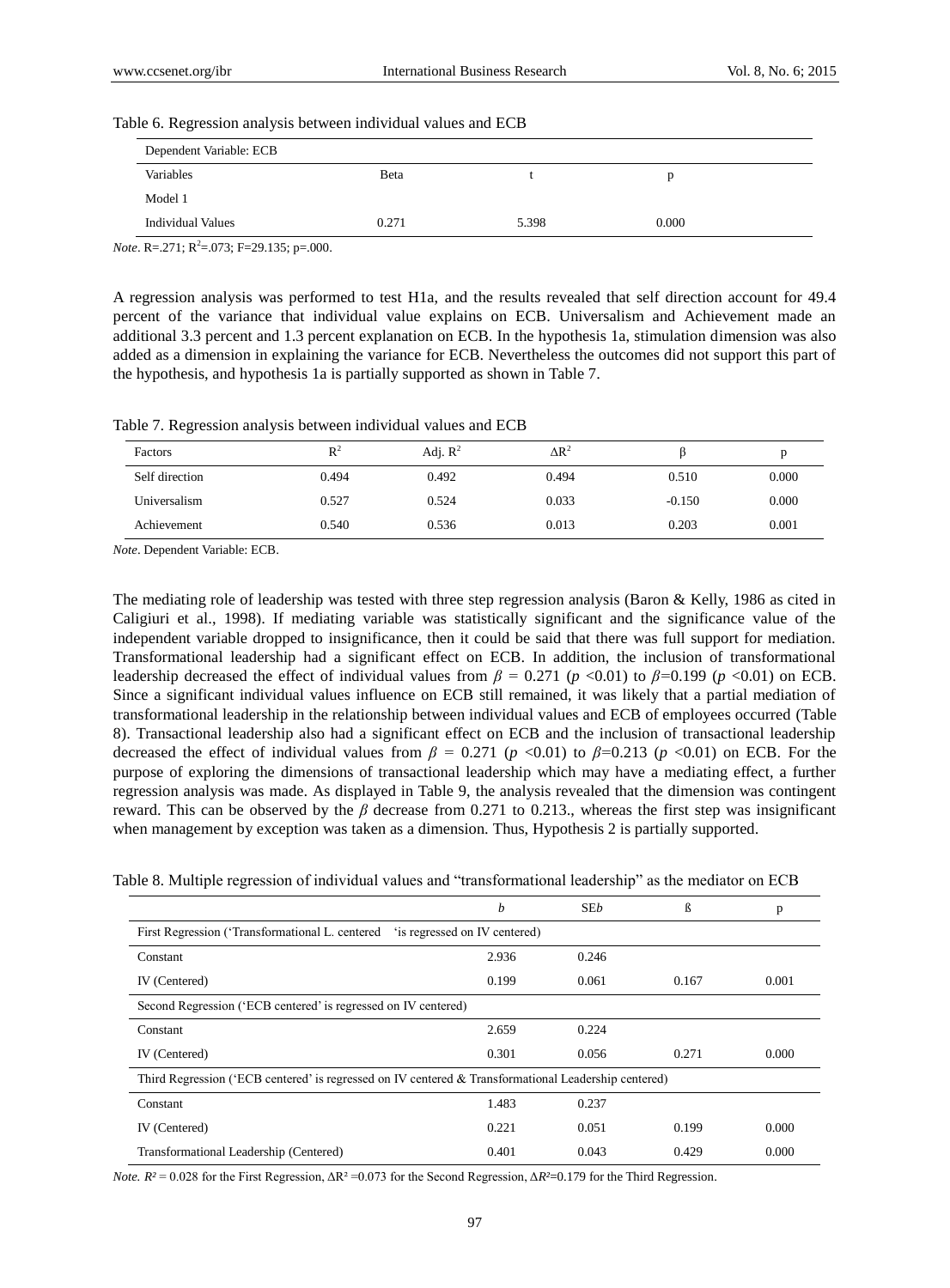| Table 6. Regression analysis between individual values and ECB |  |  |  |
|----------------------------------------------------------------|--|--|--|
|                                                                |  |  |  |

| Dependent Variable: ECB  |       |       |       |
|--------------------------|-------|-------|-------|
| Variables                | Beta  |       |       |
| Model 1                  |       |       |       |
| <b>Individual Values</b> | 0.271 | 5.398 | 0.000 |
| $\sim$                   |       |       |       |

*Note*. R=.271; R<sup>2</sup>=.073; F=29.135; p=.000.

A regression analysis was performed to test H1a, and the results revealed that self direction account for 49.4 percent of the variance that individual value explains on ECB. Universalism and Achievement made an additional 3.3 percent and 1.3 percent explanation on ECB. In the hypothesis 1a, stimulation dimension was also added as a dimension in explaining the variance for ECB. Nevertheless the outcomes did not support this part of the hypothesis, and hypothesis 1a is partially supported as shown in Table 7.

Table 7. Regression analysis between individual values and ECB

| Factors        | $R^2$ | Adj. $R^2$ | $\Delta R^2$ |          |       |
|----------------|-------|------------|--------------|----------|-------|
| Self direction | 0.494 | 0.492      | 0.494        | 0.510    | 0.000 |
| Universalism   | 0.527 | 0.524      | 0.033        | $-0.150$ | 0.000 |
| Achievement    | 0.540 | 0.536      | 0.013        | 0.203    | 0.001 |

*Note*. Dependent Variable: ECB.

The mediating role of leadership was tested with three step regression analysis (Baron & Kelly, 1986 as cited in Caligiuri et al., 1998). If mediating variable was statistically significant and the significance value of the independent variable dropped to insignificance, then it could be said that there was full support for mediation. Transformational leadership had a significant effect on ECB. In addition, the inclusion of transformational leadership decreased the effect of individual values from  $\beta = 0.271$  (*p* <0.01) to  $\beta = 0.199$  (*p* <0.01) on ECB. Since a significant individual values influence on ECB still remained, it was likely that a partial mediation of transformational leadership in the relationship between individual values and ECB of employees occurred (Table 8). Transactional leadership also had a significant effect on ECB and the inclusion of transactional leadership decreased the effect of individual values from  $\beta = 0.271$  (*p* <0.01) to  $\beta = 0.213$  (*p* <0.01) on ECB. For the purpose of exploring the dimensions of transactional leadership which may have a mediating effect, a further regression analysis was made. As displayed in Table 9, the analysis revealed that the dimension was contingent reward. This can be observed by the *β* decrease from 0.271 to 0.213., whereas the first step was insignificant when management by exception was taken as a dimension. Thus, Hypothesis 2 is partially supported.

|                                                                                                         | b     | <b>SEb</b> | ß     | p     |  |
|---------------------------------------------------------------------------------------------------------|-------|------------|-------|-------|--|
| First Regression ('Transformational L. centered 'is regressed on IV centered)                           |       |            |       |       |  |
| Constant                                                                                                | 2.936 | 0.246      |       |       |  |
| IV (Centered)                                                                                           | 0.199 | 0.061      | 0.167 | 0.001 |  |
| Second Regression ('ECB centered' is regressed on IV centered)                                          |       |            |       |       |  |
| Constant                                                                                                | 2.659 | 0.224      |       |       |  |
| IV (Centered)                                                                                           | 0.301 | 0.056      | 0.271 | 0.000 |  |
| Third Regression ('ECB centered' is regressed on IV centered $\&$ Transformational Leadership centered) |       |            |       |       |  |
| Constant                                                                                                | 1.483 | 0.237      |       |       |  |
| IV (Centered)                                                                                           | 0.221 | 0.051      | 0.199 | 0.000 |  |
| Transformational Leadership (Centered)                                                                  | 0.401 | 0.043      | 0.429 | 0.000 |  |

*Note. R* <sup>2</sup>= 0.028 for the First Regression, ΔR<sup>2</sup> = 0.073 for the Second Regression, Δ*R*<sup>2</sup>=0.179 for the Third Regression.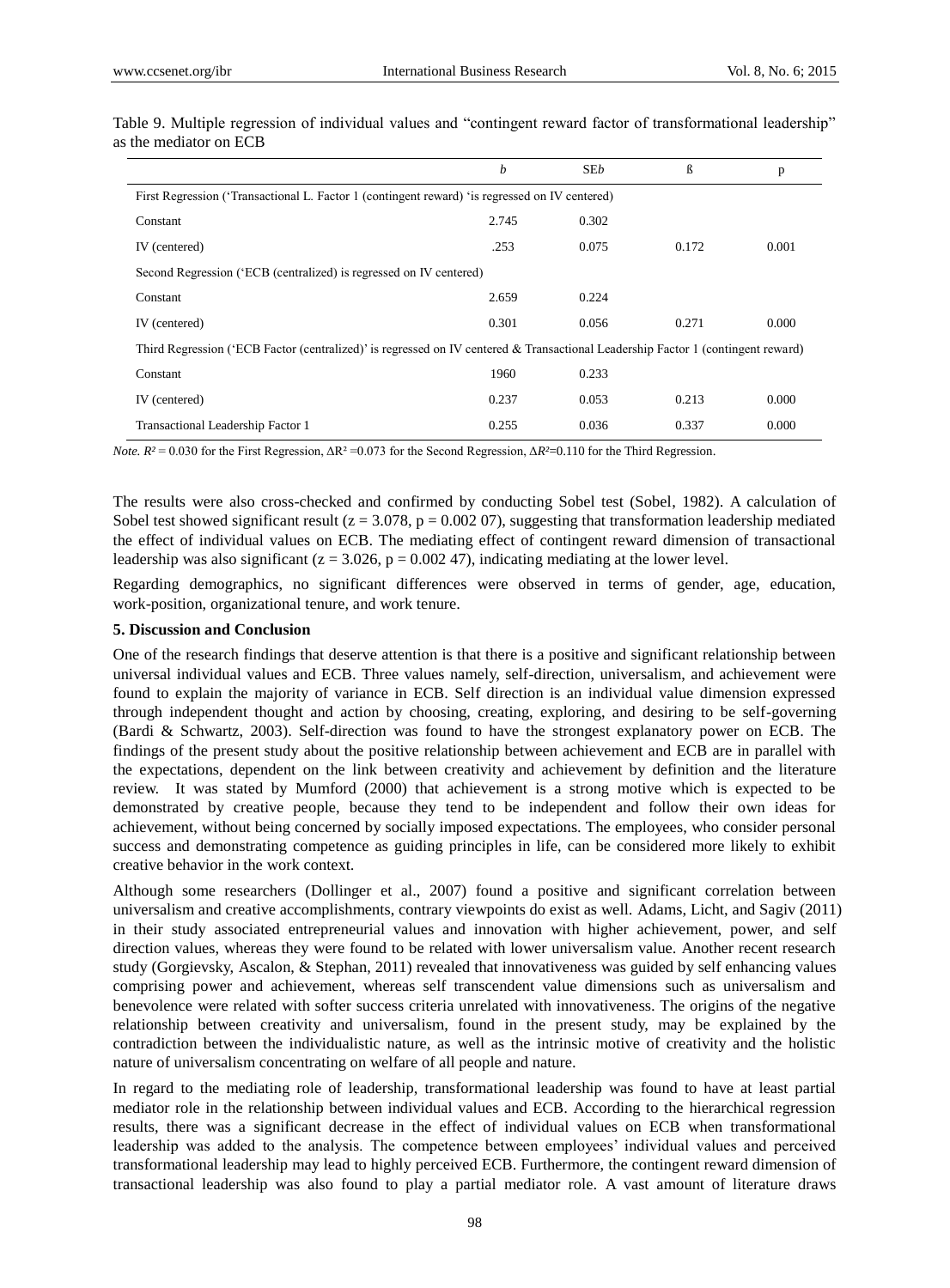|                                                                                                                                  | b     | <b>SEb</b> | ß     | p     |
|----------------------------------------------------------------------------------------------------------------------------------|-------|------------|-------|-------|
| First Regression ('Transactional L. Factor 1 (contingent reward) 'is regressed on IV centered)                                   |       |            |       |       |
| Constant                                                                                                                         | 2.745 | 0.302      |       |       |
| IV (centered)                                                                                                                    | .253  | 0.075      | 0.172 | 0.001 |
| Second Regression ('ECB (centralized) is regressed on IV centered)                                                               |       |            |       |       |
| Constant                                                                                                                         | 2.659 | 0.224      |       |       |
| IV (centered)                                                                                                                    | 0.301 | 0.056      | 0.271 | 0.000 |
| Third Regression ('ECB Factor (centralized)' is regressed on IV centered & Transactional Leadership Factor 1 (contingent reward) |       |            |       |       |
| Constant                                                                                                                         | 1960  | 0.233      |       |       |
| IV (centered)                                                                                                                    | 0.237 | 0.053      | 0.213 | 0.000 |
| Transactional Leadership Factor 1                                                                                                | 0.255 | 0.036      | 0.337 | 0.000 |

Table 9. Multiple regression of individual values and "contingent reward factor of transformational leadership" as the mediator on ECB

*Note. R* <sup>2</sup> = 0.030 for the First Regression,  $\Delta$ R<sup>2</sup> = 0.073 for the Second Regression,  $\Delta$ R<sup>2</sup> = 0.110 for the Third Regression.

The results were also cross-checked and confirmed by conducting Sobel test (Sobel, 1982). A calculation of Sobel test showed significant result ( $z = 3.078$ ,  $p = 0.002$  07), suggesting that transformation leadership mediated the effect of individual values on ECB. The mediating effect of contingent reward dimension of transactional leadership was also significant ( $z = 3.026$ ,  $p = 0.00247$ ), indicating mediating at the lower level.

Regarding demographics, no significant differences were observed in terms of gender, age, education, work-position, organizational tenure, and work tenure.

#### **5. Discussion and Conclusion**

One of the research findings that deserve attention is that there is a positive and significant relationship between universal individual values and ECB. Three values namely, self-direction, universalism, and achievement were found to explain the majority of variance in ECB. Self direction is an individual value dimension expressed through independent thought and action by choosing, creating, exploring, and desiring to be self-governing (Bardi & Schwartz, 2003). Self-direction was found to have the strongest explanatory power on ECB. The findings of the present study about the positive relationship between achievement and ECB are in parallel with the expectations, dependent on the link between creativity and achievement by definition and the literature review. It was stated by Mumford (2000) that achievement is a strong motive which is expected to be demonstrated by creative people, because they tend to be independent and follow their own ideas for achievement, without being concerned by socially imposed expectations. The employees, who consider personal success and demonstrating competence as guiding principles in life, can be considered more likely to exhibit creative behavior in the work context.

Although some researchers (Dollinger et al., 2007) found a positive and significant correlation between universalism and creative accomplishments, contrary viewpoints do exist as well. Adams, Licht, and Sagiv (2011) in their study associated entrepreneurial values and innovation with higher achievement, power, and self direction values, whereas they were found to be related with lower universalism value. Another recent research study (Gorgievsky, Ascalon, & Stephan, 2011) revealed that innovativeness was guided by self enhancing values comprising power and achievement, whereas self transcendent value dimensions such as universalism and benevolence were related with softer success criteria unrelated with innovativeness. The origins of the negative relationship between creativity and universalism, found in the present study, may be explained by the contradiction between the individualistic nature, as well as the intrinsic motive of creativity and the holistic nature of universalism concentrating on welfare of all people and nature.

In regard to the mediating role of leadership, transformational leadership was found to have at least partial mediator role in the relationship between individual values and ECB. According to the hierarchical regression results, there was a significant decrease in the effect of individual values on ECB when transformational leadership was added to the analysis. The competence between employees" individual values and perceived transformational leadership may lead to highly perceived ECB. Furthermore, the contingent reward dimension of transactional leadership was also found to play a partial mediator role. A vast amount of literature draws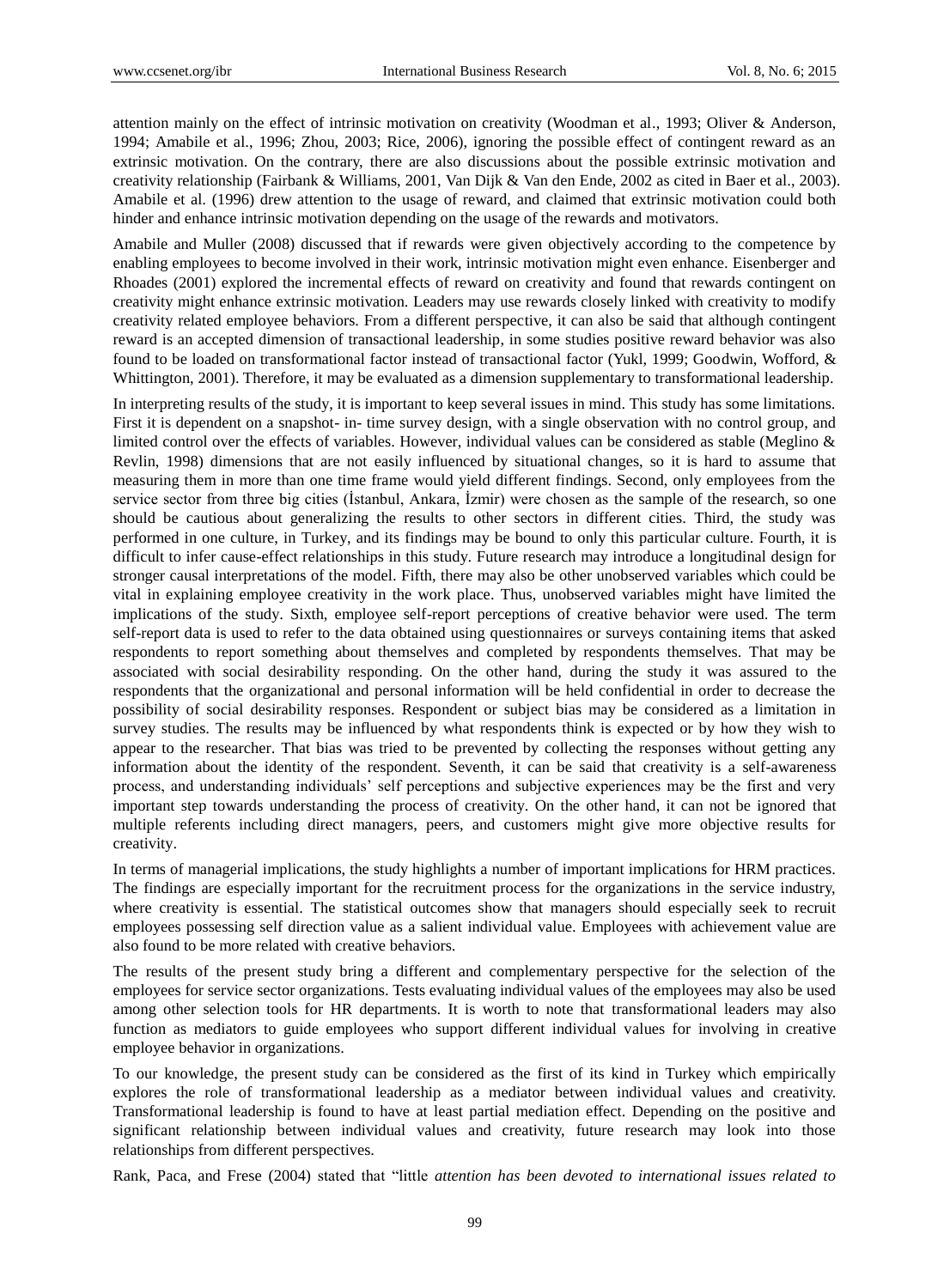attention mainly on the effect of intrinsic motivation on creativity (Woodman et al., 1993; Oliver & Anderson, 1994; Amabile et al., 1996; Zhou, 2003; Rice, 2006), ignoring the possible effect of contingent reward as an extrinsic motivation. On the contrary, there are also discussions about the possible extrinsic motivation and creativity relationship (Fairbank & Williams, 2001, Van Dijk & Van den Ende, 2002 as cited in Baer et al., 2003). Amabile et al. (1996) drew attention to the usage of reward, and claimed that extrinsic motivation could both hinder and enhance intrinsic motivation depending on the usage of the rewards and motivators.

Amabile and Muller (2008) discussed that if rewards were given objectively according to the competence by enabling employees to become involved in their work, intrinsic motivation might even enhance. Eisenberger and Rhoades (2001) explored the incremental effects of reward on creativity and found that rewards contingent on creativity might enhance extrinsic motivation. Leaders may use rewards closely linked with creativity to modify creativity related employee behaviors. From a different perspective, it can also be said that although contingent reward is an accepted dimension of transactional leadership, in some studies positive reward behavior was also found to be loaded on transformational factor instead of transactional factor (Yukl, 1999; Goodwin, Wofford, & Whittington, 2001). Therefore, it may be evaluated as a dimension supplementary to transformational leadership.

In interpreting results of the study, it is important to keep several issues in mind. This study has some limitations. First it is dependent on a snapshot- in- time survey design, with a single observation with no control group, and limited control over the effects of variables. However, individual values can be considered as stable (Meglino & Revlin, 1998) dimensions that are not easily influenced by situational changes, so it is hard to assume that measuring them in more than one time frame would yield different findings. Second, only employees from the service sector from three big cities (İstanbul, Ankara, İzmir) were chosen as the sample of the research, so one should be cautious about generalizing the results to other sectors in different cities. Third, the study was performed in one culture, in Turkey, and its findings may be bound to only this particular culture. Fourth, it is difficult to infer cause-effect relationships in this study. Future research may introduce a longitudinal design for stronger causal interpretations of the model. Fifth, there may also be other unobserved variables which could be vital in explaining employee creativity in the work place. Thus, unobserved variables might have limited the implications of the study. Sixth, employee self-report perceptions of creative behavior were used. The term self-report data is used to refer to the data obtained using questionnaires or surveys containing items that asked respondents to report something about themselves and completed by respondents themselves. That may be associated with social desirability responding. On the other hand, during the study it was assured to the respondents that the organizational and personal information will be held confidential in order to decrease the possibility of social desirability responses. Respondent or subject bias may be considered as a limitation in survey studies. The results may be influenced by what respondents think is expected or by how they wish to appear to the researcher. That bias was tried to be prevented by collecting the responses without getting any information about the identity of the respondent. Seventh, it can be said that creativity is a self-awareness process, and understanding individuals" self perceptions and subjective experiences may be the first and very important step towards understanding the process of creativity. On the other hand, it can not be ignored that multiple referents including direct managers, peers, and customers might give more objective results for creativity.

In terms of managerial implications, the study highlights a number of important implications for HRM practices. The findings are especially important for the recruitment process for the organizations in the service industry, where creativity is essential. The statistical outcomes show that managers should especially seek to recruit employees possessing self direction value as a salient individual value. Employees with achievement value are also found to be more related with creative behaviors.

The results of the present study bring a different and complementary perspective for the selection of the employees for service sector organizations. Tests evaluating individual values of the employees may also be used among other selection tools for HR departments. It is worth to note that transformational leaders may also function as mediators to guide employees who support different individual values for involving in creative employee behavior in organizations.

To our knowledge, the present study can be considered as the first of its kind in Turkey which empirically explores the role of transformational leadership as a mediator between individual values and creativity. Transformational leadership is found to have at least partial mediation effect. Depending on the positive and significant relationship between individual values and creativity, future research may look into those relationships from different perspectives.

Rank, Paca, and Frese (2004) stated that "little *attention has been devoted to international issues related to*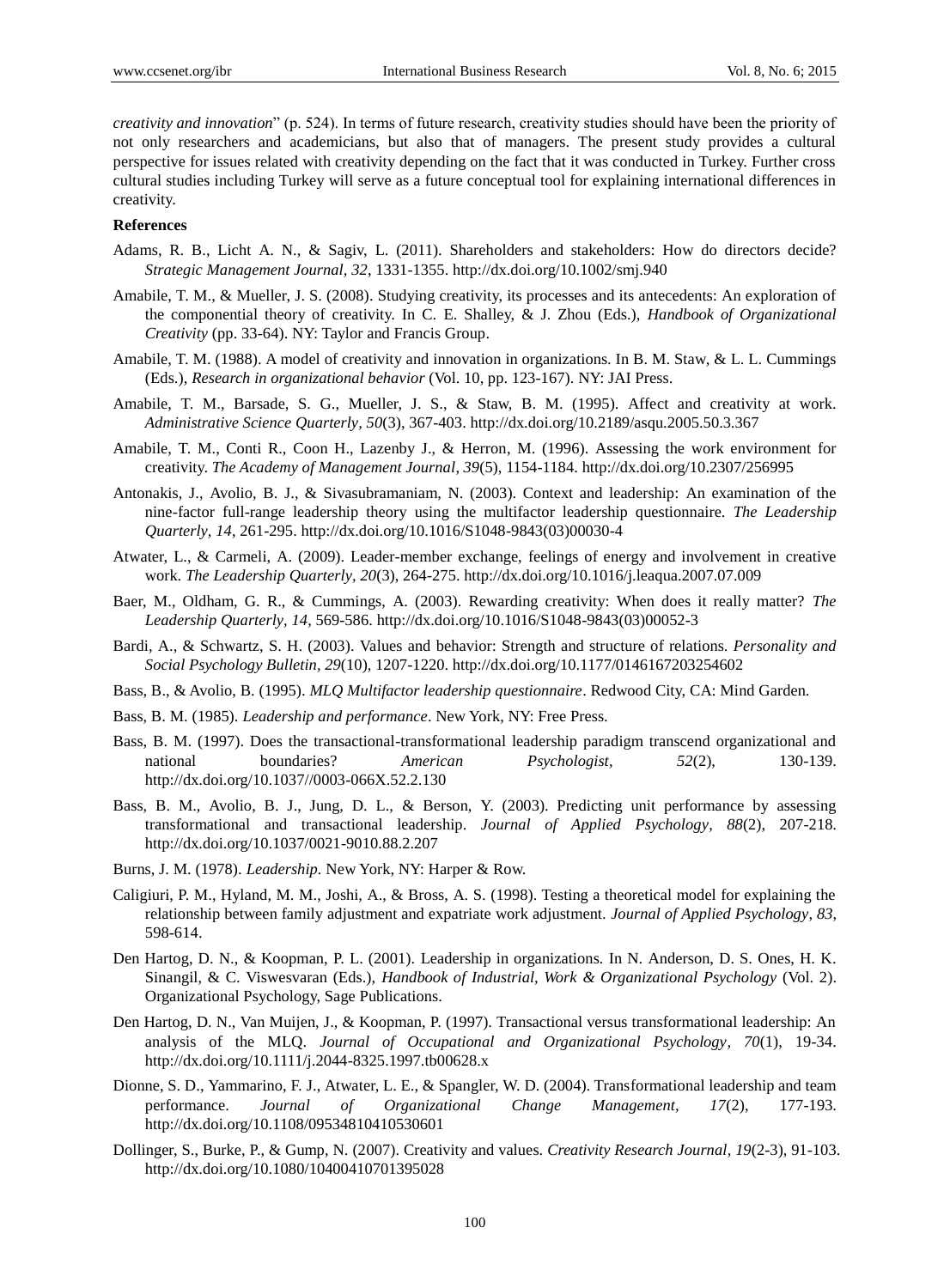*creativity and innovation*" (p. 524). In terms of future research, creativity studies should have been the priority of not only researchers and academicians, but also that of managers. The present study provides a cultural perspective for issues related with creativity depending on the fact that it was conducted in Turkey. Further cross cultural studies including Turkey will serve as a future conceptual tool for explaining international differences in creativity.

#### **References**

- Adams, R. B., Licht A. N., & Sagiv, L. (2011). Shareholders and stakeholders: How do directors decide? *Strategic Management Journal, 32*, 1331-1355. http://dx.doi.org/10.1002/smj.940
- Amabile, T. M., & Mueller, J. S. (2008). Studying creativity, its processes and its antecedents: An exploration of the componential theory of creativity. In C. E. Shalley, & J. Zhou (Eds.), *Handbook of Organizational Creativity* (pp. 33-64). NY: Taylor and Francis Group.
- Amabile, T. M. (1988). A model of creativity and innovation in organizations. In B. M. Staw, & L. L. Cummings (Eds.), *Research in organizational behavior* (Vol. 10, pp. 123-167). NY: JAI Press.
- Amabile, T. M., Barsade, S. G., Mueller, J. S., & Staw, B. M. (1995). Affect and creativity at work. *Administrative Science Quarterly, 50*(3), 367-403. http://dx.doi.org/10.2189/asqu.2005.50.3.367
- Amabile, T. M., Conti R., Coon H., Lazenby J., & Herron, M. (1996). Assessing the work environment for creativity. *The Academy of Management Journal, 39*(5), 1154-1184. http://dx.doi.org/10.2307/256995
- Antonakis, J., Avolio, B. J., & Sivasubramaniam, N. (2003). Context and leadership: An examination of the nine-factor full-range leadership theory using the multifactor leadership questionnaire. *The Leadership Quarterly, 14*, 261-295. http://dx.doi.org/10.1016/S1048-9843(03)00030-4
- Atwater, L., & Carmeli, A. (2009). Leader-member exchange, feelings of energy and involvement in creative work. *The Leadership Quarterly, 20*(3), 264-275. http://dx.doi.org/10.1016/j.leaqua.2007.07.009
- Baer, M., Oldham, G. R., & Cummings, A. (2003). Rewarding creativity: When does it really matter? *The Leadership Quarterly, 14*, 569-586. http://dx.doi.org/10.1016/S1048-9843(03)00052-3
- Bardi, A., & Schwartz, S. H. (2003). Values and behavior: Strength and structure of relations. *Personality and Social Psychology Bulletin, 29*(10), 1207-1220. http://dx.doi.org/10.1177/0146167203254602
- Bass, B., & Avolio, B. (1995). *MLQ Multifactor leadership questionnaire*. Redwood City, CA: Mind Garden.
- Bass, B. M. (1985). *Leadership and performance*. New York, NY: Free Press.
- Bass, B. M. (1997). Does the transactional-transformational leadership paradigm transcend organizational and national boundaries? *American Psychologist, 52*(2), 130-139. http://dx.doi.org/10.1037//0003-066X.52.2.130
- Bass, B. M., Avolio, B. J., Jung, D. L., & Berson, Y. (2003). Predicting unit performance by assessing transformational and transactional leadership. *Journal of Applied Psychology, 88*(2), 207-218. http://dx.doi.org/10.1037/0021-9010.88.2.207
- Burns, J. M. (1978). *Leadership.* New York, NY: Harper & Row.
- Caligiuri, P. M., Hyland, M. M., Joshi, A., & Bross, A. S. (1998). Testing a theoretical model for explaining the relationship between family adjustment and expatriate work adjustment. *Journal of Applied Psychology, 83*, 598-614.
- Den Hartog, D. N., & Koopman, P. L. (2001). Leadership in organizations*.* In N. Anderson, D. S. Ones, H. K. Sinangil, & C. Viswesvaran (Eds.), *Handbook of Industrial, Work & Organizational Psychology* (Vol. 2). Organizational Psychology, Sage Publications.
- Den Hartog, D. N., Van Muijen, J., & Koopman, P. (1997). Transactional versus transformational leadership: An analysis of the MLQ. *Journal of Occupational and Organizational Psychology, 70*(1), 19-34. http://dx.doi.org/10.1111/j.2044-8325.1997.tb00628.x
- Dionne, S. D., Yammarino, F. J., Atwater, L. E., & Spangler, W. D. (2004). Transformational leadership and team performance. *Journal of Organizational Change Management, 17*(2), 177-193. http://dx.doi.org/10.1108/09534810410530601
- Dollinger, S., Burke, P., & Gump, N. (2007). Creativity and values. *Creativity Research Journal, 19*(2-3), 91-103. http://dx.doi.org/10.1080/10400410701395028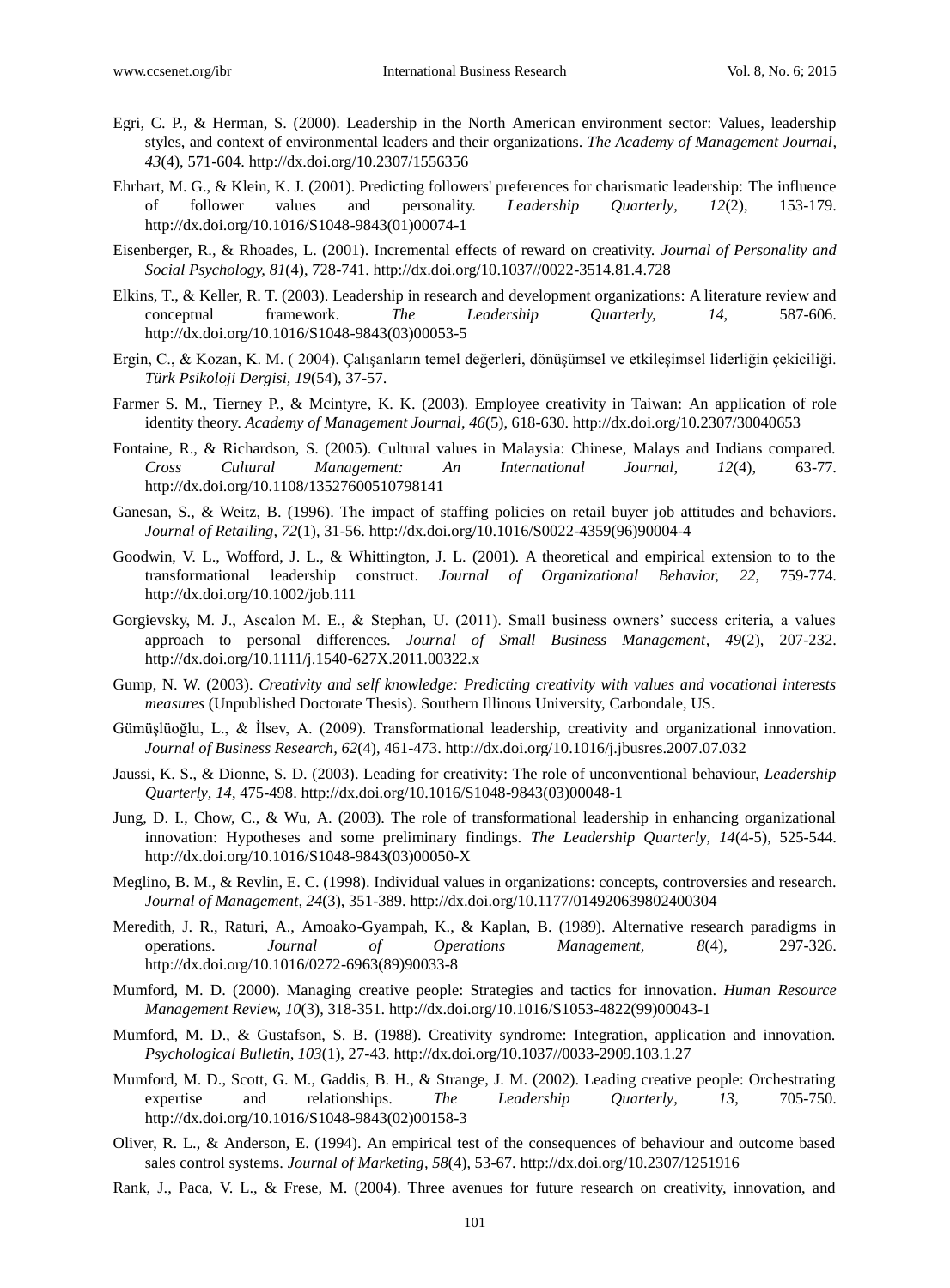- Egri, C. P., & Herman, S. (2000). Leadership in the North American environment sector: Values, leadership styles, and context of environmental leaders and their organizations. *The Academy of Management Journal, 43*(4), 571-604. http://dx.doi.org/10.2307/1556356
- Ehrhart, M. G., & Klein, K. J. (2001). Predicting followers' preferences for charismatic leadership: The influence of follower values and personality. *Leadership Quarterly, 12*(2), 153-179. http://dx.doi.org/10.1016/S1048-9843(01)00074-1
- Eisenberger, R., & Rhoades, L. (2001). Incremental effects of reward on creativity. *Journal of Personality and Social Psychology, 81*(4), 728-741. http://dx.doi.org/10.1037//0022-3514.81.4.728
- Elkins, T., & Keller, R. T. (2003). Leadership in research and development organizations: A literature review and conceptual framework. *The Leadership Quarterly, 14,* 587-606. http://dx.doi.org/10.1016/S1048-9843(03)00053-5
- Ergin, C., & Kozan, K. M. ( 2004). Çalışanların temel değerleri, dönüşümsel ve etkileşimsel liderliğin çekiciliği. *Türk Psikoloji Dergisi, 19*(54), 37-57.
- Farmer S. M., Tierney P., & Mcintyre, K. K. (2003). Employee creativity in Taiwan: An application of role identity theory. *Academy of Management Journal, 46*(5), 618-630. http://dx.doi.org/10.2307/30040653
- Fontaine, R., & Richardson, S. (2005). Cultural values in Malaysia: Chinese, Malays and Indians compared. *Cross Cultural Management: An International Journal, 12*(4), 63-77. http://dx.doi.org/10.1108/13527600510798141
- Ganesan, S., & Weitz, B. (1996). The impact of staffing policies on retail buyer job attitudes and behaviors. *Journal of Retailing, 72*(1), 31-56. http://dx.doi.org/10.1016/S0022-4359(96)90004-4
- Goodwin, V. L., Wofford, J. L., & Whittington, J. L. (2001). A theoretical and empirical extension to to the transformational leadership construct. *Journal of Organizational Behavior, 22*, 759-774. http://dx.doi.org/10.1002/job.111
- Gorgievsky, M. J., Ascalon M. E., & Stephan, U. (2011). Small business owners" success criteria, a values approach to personal differences. *Journal of Small Business Management, 49*(2), 207-232. http://dx.doi.org/10.1111/j.1540-627X.2011.00322.x
- Gump, N. W. (2003). *Creativity and self knowledge: Predicting creativity with values and vocational interests measures* (Unpublished Doctorate Thesis). Southern Illinous University, Carbondale, US.
- Gümüşlüoğlu, L., & İlsev, A. (2009). Transformational leadership, creativity and organizational innovation. *Journal of Business Research, 62*(4), 461-473. http://dx.doi.org/10.1016/j.jbusres.2007.07.032
- Jaussi, K. S., & Dionne, S. D. (2003). Leading for creativity: The role of unconventional behaviour, *Leadership Quarterly, 14*, 475-498. http://dx.doi.org/10.1016/S1048-9843(03)00048-1
- Jung, D. I., Chow, C., & Wu, A. (2003). The role of transformational leadership in enhancing organizational innovation: Hypotheses and some preliminary findings. *The Leadership Quarterly, 14*(4-5), 525-544. http://dx.doi.org/10.1016/S1048-9843(03)00050-X
- Meglino, B. M., & Revlin, E. C. (1998). Individual values in organizations: concepts, controversies and research. *Journal of Management, 24*(3), 351-389. http://dx.doi.org/10.1177/014920639802400304
- Meredith, J. R., Raturi, A., Amoako-Gyampah, K., & Kaplan, B. (1989). Alternative research paradigms in operations. *Journal of Operations Management, 8*(4), 297-326. http://dx.doi.org/10.1016/0272-6963(89)90033-8
- Mumford, M. D. (2000). Managing creative people: Strategies and tactics for innovation. *Human Resource Management Review, 10*(3), 318-351. http://dx.doi.org/10.1016/S1053-4822(99)00043-1
- Mumford, M. D., & Gustafson, S. B. (1988). Creativity syndrome: Integration, application and innovation. *Psychological Bulletin, 103*(1), 27-43. http://dx.doi.org/10.1037//0033-2909.103.1.27
- Mumford, M. D., Scott, G. M., Gaddis, B. H., & Strange, J. M. (2002). Leading creative people: Orchestrating expertise and relationships. *The Leadership Quarterly, 13*, 705-750. http://dx.doi.org/10.1016/S1048-9843(02)00158-3
- Oliver, R. L., & Anderson, E. (1994). An empirical test of the consequences of behaviour and outcome based sales control systems. *Journal of Marketing, 58*(4), 53-67. http://dx.doi.org/10.2307/1251916
- Rank, J., Paca, V. L., & Frese, M. (2004). Three avenues for future research on creativity, innovation, and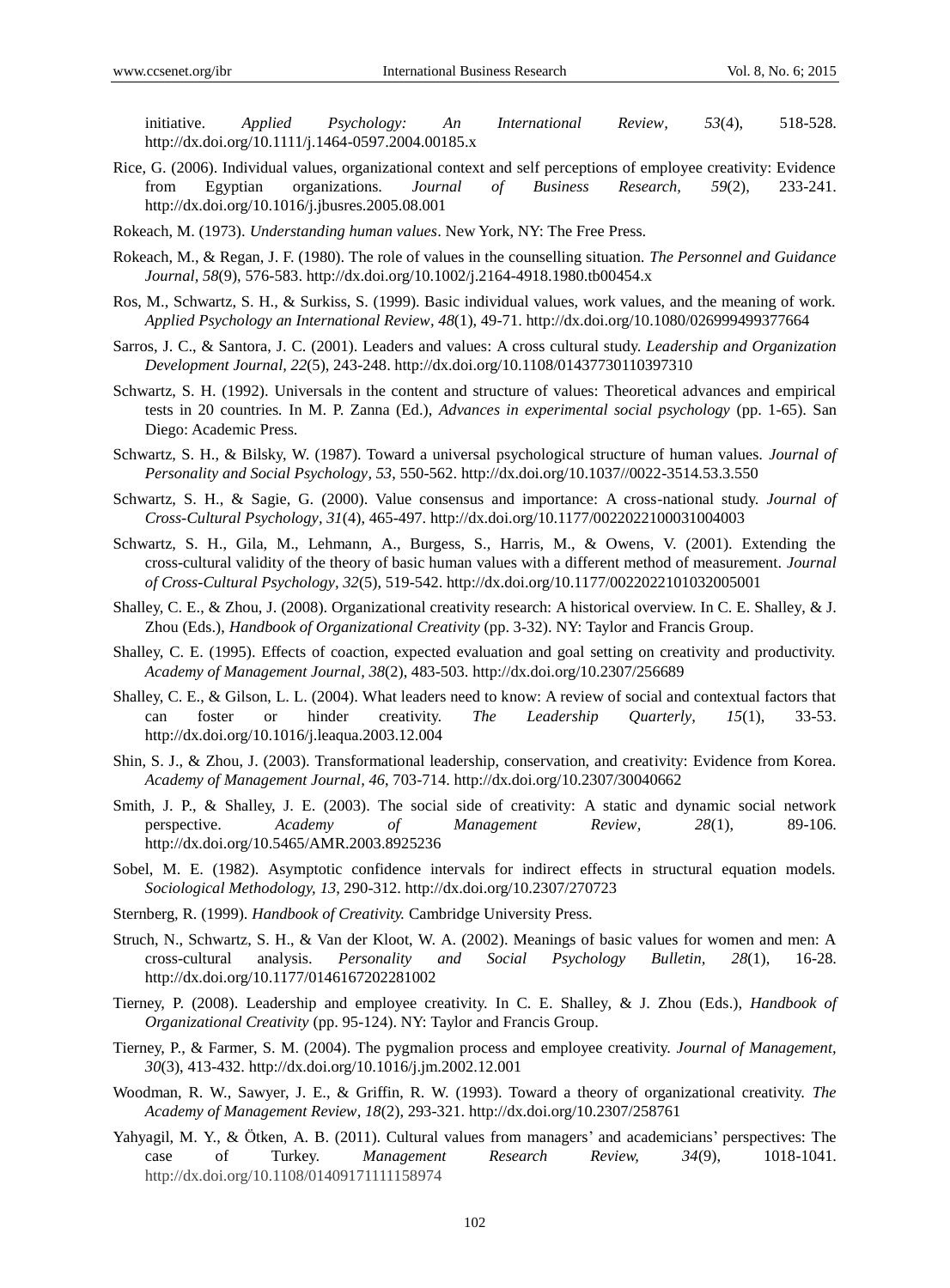initiative. *Applied Psychology: An International Review, 53*(4), 518-528. http://dx.doi.org/10.1111/j.1464-0597.2004.00185.x

- Rice, G. (2006). Individual values, organizational context and self perceptions of employee creativity: Evidence from Egyptian organizations. *Journal of Business Research, 59*(2), 233-241. http://dx.doi.org/10.1016/j.jbusres.2005.08.001
- Rokeach, M. (1973). *Understanding human values*. New York, NY: The Free Press.
- Rokeach, M., & Regan, J. F. (1980). The role of values in the counselling situation. *The Personnel and Guidance Journal, 58*(9), 576-583. http://dx.doi.org/10.1002/j.2164-4918.1980.tb00454.x
- Ros, M., Schwartz, S. H., & Surkiss, S. (1999). Basic individual values, work values, and the meaning of work. *Applied Psychology an International Review, 48*(1), 49-71. http://dx.doi.org/10.1080/026999499377664
- Sarros, J. C., & Santora, J. C. (2001). Leaders and values: A cross cultural study. *Leadership and Organization Development Journal, 22*(5), 243-248. http://dx.doi.org/10.1108/01437730110397310
- Schwartz, S. H. (1992). Universals in the content and structure of values: Theoretical advances and empirical tests in 20 countries*.* In M. P. Zanna (Ed.), *Advances in experimental social psychology* (pp. 1-65). San Diego: Academic Press.
- Schwartz, S. H., & Bilsky, W. (1987). Toward a universal psychological structure of human values. *Journal of Personality and Social Psychology, 53*, 550-562. http://dx.doi.org/10.1037//0022-3514.53.3.550
- Schwartz, S. H., & Sagie, G. (2000). Value consensus and importance: A cross-national study. *Journal of Cross-Cultural Psychology, 31*(4), 465-497. http://dx.doi.org/10.1177/0022022100031004003
- Schwartz, S. H., Gila, M., Lehmann, A., Burgess, S., Harris, M., & Owens, V. (2001). Extending the cross-cultural validity of the theory of basic human values with a different method of measurement. *Journal of Cross-Cultural Psychology, 32*(5), 519-542. http://dx.doi.org/10.1177/0022022101032005001
- Shalley, C. E., & Zhou, J. (2008). Organizational creativity research: A historical overview. In C. E. Shalley, & J. Zhou (Eds.), *Handbook of Organizational Creativity* (pp. 3-32). NY: Taylor and Francis Group.
- Shalley, C. E. (1995). Effects of coaction, expected evaluation and goal setting on creativity and productivity. *Academy of Management Journal, 38*(2), 483-503. http://dx.doi.org/10.2307/256689
- Shalley, C. E., & Gilson, L. L. (2004). What leaders need to know: A review of social and contextual factors that can foster or hinder creativity. *The Leadership Quarterly, 15*(1), 33-53. http://dx.doi.org/10.1016/j.leaqua.2003.12.004
- Shin, S. J., & Zhou, J. (2003). Transformational leadership, conservation, and creativity: Evidence from Korea. *Academy of Management Journal, 46*, 703-714. http://dx.doi.org/10.2307/30040662
- Smith, J. P., & Shalley, J. E. (2003). The social side of creativity: A static and dynamic social network perspective. *Academy of Management Review, 28*(1), 89-106. http://dx.doi.org/10.5465/AMR.2003.8925236
- Sobel, M. E. (1982). Asymptotic confidence intervals for indirect effects in structural equation models. *Sociological Methodology, 13*, 290-312. http://dx.doi.org/10.2307/270723
- Sternberg, R. (1999). *Handbook of Creativity.* Cambridge University Press.
- Struch, N., Schwartz, S. H., & Van der Kloot, W. A. (2002). Meanings of basic values for women and men: A cross-cultural analysis. *Personality and Social Psychology Bulletin, 28*(1), 16-28. http://dx.doi.org/10.1177/0146167202281002
- Tierney, P. (2008). Leadership and employee creativity. In C. E. Shalley, & J. Zhou (Eds.), *Handbook of Organizational Creativity* (pp. 95-124). NY: Taylor and Francis Group.
- Tierney, P., & Farmer, S. M. (2004). The pygmalion process and employee creativity. *Journal of Management, 30*(3), 413-432. http://dx.doi.org/10.1016/j.jm.2002.12.001
- Woodman, R. W., Sawyer, J. E., & Griffin, R. W. (1993). Toward a theory of organizational creativity. *The Academy of Management Review, 18*(2), 293-321. http://dx.doi.org/10.2307/258761
- Yahyagil, M. Y., & Ötken, A. B. (2011). Cultural values from managers' and academicians' perspectives: The case of Turkey. *Management Research Review, 34*(9), 1018-1041. http://dx.doi.org/10.1108/01409171111158974